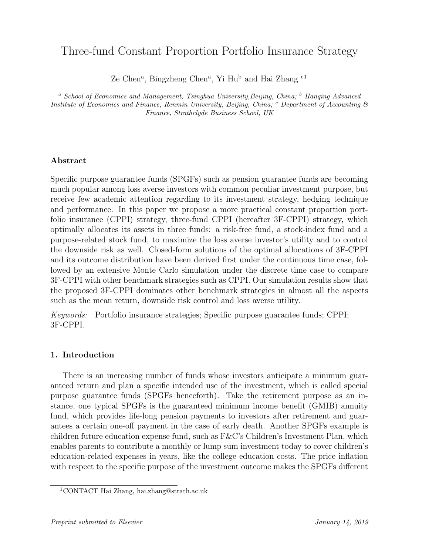# Three-fund Constant Proportion Portfolio Insurance Strategy

Ze Chen<sup>a</sup>, Bingzheng Chen<sup>a</sup>, Yi Hu<sup>b</sup> and Hai Zhang <sup>c1</sup>

<sup>a</sup> School of Economics and Management, Tsinghua University, Beijing, China;  $\frac{b}{b}$  Hanging Advanced Institute of Economics and Finance, Renmin University, Beijing, China;  $\degree$  Department of Accounting  $\degree$ Finance, Strathclyde Business School, UK

# Abstract

Specific purpose guarantee funds (SPGFs) such as pension guarantee funds are becoming much popular among loss averse investors with common peculiar investment purpose, but receive few academic attention regarding to its investment strategy, hedging technique and performance. In this paper we propose a more practical constant proportion portfolio insurance (CPPI) strategy, three-fund CPPI (hereafter 3F-CPPI) strategy, which optimally allocates its assets in three funds: a risk-free fund, a stock-index fund and a purpose-related stock fund, to maximize the loss averse investor's utility and to control the downside risk as well. Closed-form solutions of the optimal allocations of 3F-CPPI and its outcome distribution have been derived first under the continuous time case, followed by an extensive Monte Carlo simulation under the discrete time case to compare 3F-CPPI with other benchmark strategies such as CPPI. Our simulation results show that the proposed 3F-CPPI dominates other benchmark strategies in almost all the aspects such as the mean return, downside risk control and loss averse utility.

Keywords: Portfolio insurance strategies; Specific purpose guarantee funds; CPPI; 3F-CPPI.

# 1. Introduction

There is an increasing number of funds whose investors anticipate a minimum guaranteed return and plan a specific intended use of the investment, which is called special purpose guarantee funds (SPGFs henceforth). Take the retirement purpose as an instance, one typical SPGFs is the guaranteed minimum income benefit (GMIB) annuity fund, which provides life-long pension payments to investors after retirement and guarantees a certain one-off payment in the case of early death. Another SPGFs example is children future education expense fund, such as F&C's Children's Investment Plan, which enables parents to contribute a monthly or lump sum investment today to cover children's education-related expenses in years, like the college education costs. The price inflation with respect to the specific purpose of the investment outcome makes the SPGFs different

<sup>1</sup>CONTACT Hai Zhang, hai.zhang@strath.ac.uk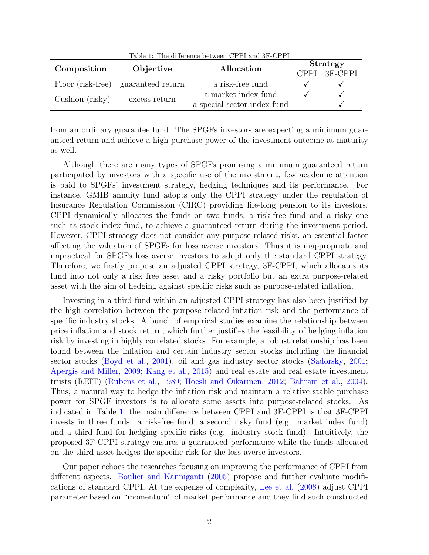<span id="page-1-0"></span>

| Table 1: The difference between CPPI and 3F-CPPI |                                     |                     |                             |              |  |  |  |  |
|--------------------------------------------------|-------------------------------------|---------------------|-----------------------------|--------------|--|--|--|--|
| Composition                                      | Objective                           | Allocation          | Strategy                    |              |  |  |  |  |
|                                                  |                                     |                     |                             | CPPI 3F-CPPI |  |  |  |  |
|                                                  | Floor (risk-free) guaranteed return | a risk-free fund    |                             |              |  |  |  |  |
| Cushion (risky)                                  |                                     | a market index fund |                             |              |  |  |  |  |
|                                                  |                                     | excess return       | a special sector index fund |              |  |  |  |  |

from an ordinary guarantee fund. The SPGFs investors are expecting a minimum guaranteed return and achieve a high purchase power of the investment outcome at maturity as well.

Although there are many types of SPGFs promising a minimum guaranteed return participated by investors with a specific use of the investment, few academic attention is paid to SPGFs' investment strategy, hedging techniques and its performance. For instance, GMIB annuity fund adopts only the CPPI strategy under the regulation of Insurance Regulation Commission (CIRC) providing life-long pension to its investors. CPPI dynamically allocates the funds on two funds, a risk-free fund and a risky one such as stock index fund, to achieve a guaranteed return during the investment period. However, CPPI strategy does not consider any purpose related risks, an essential factor affecting the valuation of SPGFs for loss averse investors. Thus it is inappropriate and impractical for SPGFs loss averse investors to adopt only the standard CPPI strategy. Therefore, we firstly propose an adjusted CPPI strategy, 3F-CPPI, which allocates its fund into not only a risk free asset and a risky portfolio but an extra purpose-related asset with the aim of hedging against specific risks such as purpose-related inflation.

Investing in a third fund within an adjusted CPPI strategy has also been justified by the high correlation between the purpose related inflation risk and the performance of specific industry stocks. A bunch of empirical studies examine the relationship between price inflation and stock return, which further justifies the feasibility of hedging inflation risk by investing in highly correlated stocks. For example, a robust relationship has been found between the inflation and certain industry sector stocks including the financial sector stocks [\(Boyd et al.,](#page-29-0) [2001\)](#page-29-0), oil and gas industry sector stocks [\(Sadorsky,](#page-30-0) [2001;](#page-30-0) [Apergis and Miller,](#page-28-0) [2009;](#page-28-0) [Kang et al.,](#page-29-1) [2015\)](#page-29-1) and real estate and real estate investment trusts (REIT) [\(Rubens et al.,](#page-30-1) [1989;](#page-30-1) [Hoesli and Oikarinen,](#page-29-2) [2012;](#page-29-2) [Bahram et al.,](#page-28-1) [2004\)](#page-28-1). Thus, a natural way to hedge the inflation risk and maintain a relative stable purchase power for SPGF investors is to allocate some assets into purpose-related stocks. As indicated in Table [1,](#page-1-0) the main difference between CPPI and 3F-CPPI is that 3F-CPPI invests in three funds: a risk-free fund, a second risky fund (e.g. market index fund) and a third fund for hedging specific risks (e.g. industry stock fund). Intuitively, the proposed 3F-CPPI strategy ensures a guaranteed performance while the funds allocated on the third asset hedges the specific risk for the loss averse investors.

Our paper echoes the researches focusing on improving the performance of CPPI from different aspects. [Boulier and Kanniganti](#page-28-2) [\(2005\)](#page-28-2) propose and further evaluate modifications of standard CPPI. At the expense of complexity, [Lee et al.](#page-29-3) [\(2008\)](#page-29-3) adjust CPPI parameter based on "momentum" of market performance and they find such constructed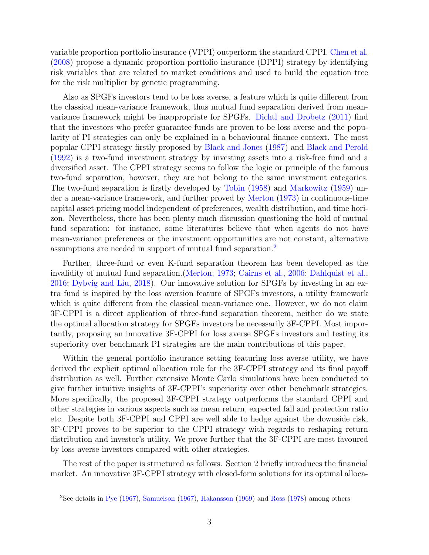variable proportion portfolio insurance (VPPI) outperform the standard CPPI. [Chen et al.](#page-29-4) [\(2008\)](#page-29-4) propose a dynamic proportion portfolio insurance (DPPI) strategy by identifying risk variables that are related to market conditions and used to build the equation tree for the risk multiplier by genetic programming.

Also as SPGFs investors tend to be loss averse, a feature which is quite different from the classical mean-variance framework, thus mutual fund separation derived from meanvariance framework might be inappropriate for SPGFs. [Dichtl and Drobetz](#page-29-5) [\(2011\)](#page-29-5) find that the investors who prefer guarantee funds are proven to be loss averse and the popularity of PI strategies can only be explained in a behavioural finance context. The most popular CPPI strategy firstly proposed by [Black and Jones](#page-28-3) [\(1987\)](#page-28-3) and [Black and Perold](#page-28-4) [\(1992\)](#page-28-4) is a two-fund investment strategy by investing assets into a risk-free fund and a diversified asset. The CPPI strategy seems to follow the logic or principle of the famous two-fund separation, however, they are not belong to the same investment categories. The two-fund separation is firstly developed by [Tobin](#page-30-2) [\(1958\)](#page-30-2) and [Markowitz](#page-30-3) [\(1959\)](#page-30-3) under a mean-variance framework, and further proved by [Merton](#page-30-4) [\(1973\)](#page-30-4) in continuous-time capital asset pricing model independent of preferences, wealth distribution, and time horizon. Nevertheless, there has been plenty much discussion questioning the hold of mutual fund separation: for instance, some literatures believe that when agents do not have mean-variance preferences or the investment opportunities are not constant, alternative assumptions are needed in support of mutual fund separation.[2](#page-2-0)

Further, three-fund or even K-fund separation theorem has been developed as the invalidity of mutual fund separation.[\(Merton,](#page-30-4) [1973;](#page-30-4) [Cairns et al.,](#page-29-6) [2006;](#page-29-6) [Dahlquist et al.,](#page-29-7) [2016;](#page-29-7) [Dybvig and Liu,](#page-29-8) [2018\)](#page-29-8). Our innovative solution for SPGFs by investing in an extra fund is inspired by the loss aversion feature of SPGFs investors, a utility framework which is quite different from the classical mean-variance one. However, we do not claim 3F-CPPI is a direct application of three-fund separation theorem, neither do we state the optimal allocation strategy for SPGFs investors be necessarily 3F-CPPI. Most importantly, proposing an innovative 3F-CPPI for loss averse SPGFs investors and testing its superiority over benchmark PI strategies are the main contributions of this paper.

Within the general portfolio insurance setting featuring loss averse utility, we have derived the explicit optimal allocation rule for the 3F-CPPI strategy and its final payoff distribution as well. Further extensive Monte Carlo simulations have been conducted to give further intuitive insights of 3F-CPPI's superiority over other benchmark strategies. More specifically, the proposed 3F-CPPI strategy outperforms the standard CPPI and other strategies in various aspects such as mean return, expected fall and protection ratio etc. Despite both 3F-CPPI and CPPI are well able to hedge against the downside risk, 3F-CPPI proves to be superior to the CPPI strategy with regards to reshaping return distribution and investor's utility. We prove further that the 3F-CPPI are most favoured by loss averse investors compared with other strategies.

The rest of the paper is structured as follows. Section 2 briefly introduces the financial market. An innovative 3F-CPPI strategy with closed-form solutions for its optimal alloca-

<span id="page-2-0"></span><sup>2</sup>See details in [Pye](#page-30-5) [\(1967\)](#page-30-5), [Samuelson](#page-30-6) [\(1967\)](#page-30-6), [Hakansson](#page-29-9) [\(1969\)](#page-29-9) and [Ross](#page-30-7) [\(1978\)](#page-30-7) among others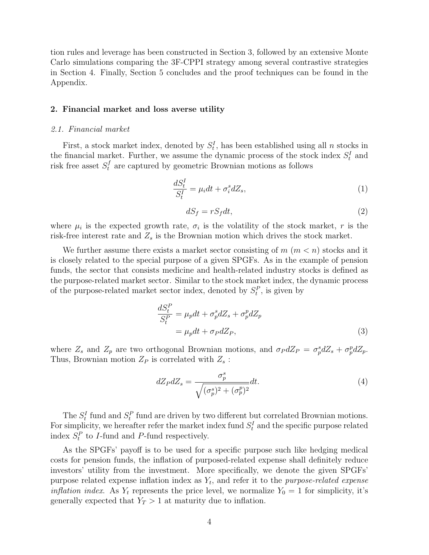tion rules and leverage has been constructed in Section 3, followed by an extensive Monte Carlo simulations comparing the 3F-CPPI strategy among several contrastive strategies in Section 4. Finally, Section 5 concludes and the proof techniques can be found in the Appendix.

#### <span id="page-3-0"></span>2. Financial market and loss averse utility

#### 2.1. Financial market

First, a stock market index, denoted by  $S_t^I$ , has been established using all n stocks in the financial market. Further, we assume the dynamic process of the stock index  $S_t^I$  and risk free asset  $S_t^f$  are captured by geometric Brownian motions as follows

$$
\frac{dS_t^I}{S_t^I} = \mu_i dt + \sigma_i^s dZ_s,\tag{1}
$$

$$
dS_f = rS_f dt,\t\t(2)
$$

where  $\mu_i$  is the expected growth rate,  $\sigma_i$  is the volatility of the stock market, r is the risk-free interest rate and  $Z_s$  is the Brownian motion which drives the stock market.

We further assume there exists a market sector consisting of  $m$   $(m < n)$  stocks and it is closely related to the special purpose of a given SPGFs. As in the example of pension funds, the sector that consists medicine and health-related industry stocks is defined as the purpose-related market sector. Similar to the stock market index, the dynamic process of the purpose-related market sector index, denoted by  $S_t^P$ , is given by

$$
\frac{dS_t^P}{S_t^P} = \mu_p dt + \sigma_p^s dZ_s + \sigma_p^p dZ_p
$$
  
=  $\mu_p dt + \sigma_P dZ_P,$  (3)

where  $Z_s$  and  $Z_p$  are two orthogonal Brownian motions, and  $\sigma_P dZ_P = \sigma_p^s dZ_s + \sigma_p^p dZ_p$ . Thus, Brownian motion  $Z_P$  is correlated with  $Z_s$ :

$$
dZ_P dZ_s = \frac{\sigma_p^s}{\sqrt{(\sigma_p^s)^2 + (\sigma_p^p)^2}} dt.
$$
\n(4)

The  $S_t^I$  fund and  $S_t^P$  fund are driven by two different but correlated Brownian motions. For simplicity, we hereafter refer the market index fund  $S_t^I$  and the specific purpose related index  $S_t^P$  to *I*-fund and *P*-fund respectively.

As the SPGFs' payoff is to be used for a specific purpose such like hedging medical costs for pension funds, the inflation of purposed-related expense shall definitely reduce investors' utility from the investment. More specifically, we denote the given SPGFs' purpose related expense inflation index as  $Y_t$ , and refer it to the *purpose-related expense inflation index.* As  $Y_t$  represents the price level, we normalize  $Y_0 = 1$  for simplicity, it's generally expected that  $Y_T > 1$  at maturity due to inflation.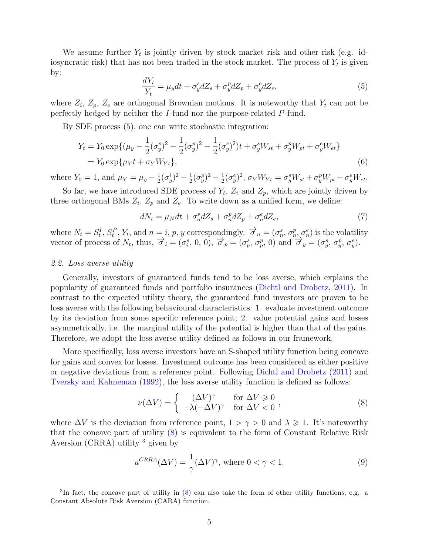We assume further  $Y_t$  is jointly driven by stock market risk and other risk (e.g. idiosyncratic risk) that has not been traded in the stock market. The process of  $Y_t$  is given by:

<span id="page-4-0"></span>
$$
\frac{dY_t}{Y_t} = \mu_y dt + \sigma_y^s dZ_s + \sigma_y^p dZ_p + \sigma_y^e dZ_e,\tag{5}
$$

where  $Z_i$ ,  $Z_p$ ,  $Z_e$  are orthogonal Brownian motions. It is noteworthy that  $Y_t$  can not be perfectly hedged by neither the I-fund nor the purpose-related P-fund.

By SDE process [\(5\)](#page-4-0), one can write stochastic integration:

$$
Y_t = Y_0 \exp\{(\mu_y - \frac{1}{2}(\sigma_y^s)^2 - \frac{1}{2}(\sigma_y^p)^2 - \frac{1}{2}(\sigma_y^e)^2)t + \sigma_y^s W_{st} + \sigma_y^p W_{pt} + \sigma_y^e W_{et}\}
$$
  
=  $Y_0 \exp\{\mu_Y t + \sigma_Y W_{Yt}\},$  (6)

where  $Y_0 = 1$ , and  $\mu_Y = \mu_y - \frac{1}{2}$  $\frac{1}{2}(\sigma_{y}^{i})^{2} - \frac{1}{2}$  $\frac{1}{2}(\sigma_{y}^{p})^{2} - \frac{1}{2}$  $\frac{1}{2}(\sigma_y^e)^2$ ,  $\sigma_Y W_{Yt} = \sigma_y^s W_{st} + \sigma_y^p W_{pt} + \sigma_y^e W_{et}.$ 

So far, we have introduced SDE process of  $Y_t$ ,  $Z_i$  and  $Z_p$ , which are jointly driven by three orthogonal BMs  $Z_i$ ,  $Z_p$  and  $Z_e$ . To write down as a unified form, we define:

$$
dN_t = \mu_N dt + \sigma_n^s dZ_s + \sigma_n^p dZ_p + \sigma_n^e dZ_e,\tag{7}
$$

where  $N_t = S_t^I, S_t^P, Y_t$ , and  $n = i, p, y$  correspondingly.  $\vec{\sigma}_n = (\sigma_n^s, \sigma_n^p, \sigma_n^e)$  is the volatility vector of process of  $N_t$ , thus,  $\vec{\sigma}_i = (\sigma_i^s, 0, 0), \vec{\sigma}_p = (\sigma_p^s, \sigma_p^p, 0)$  and  $\vec{\sigma}_y = (\sigma_y^s, \sigma_y^p, \sigma_y^e)$ .

#### 2.2. Loss averse utility

Generally, investors of guaranteed funds tend to be loss averse, which explains the popularity of guaranteed funds and portfolio insurances [\(Dichtl and Drobetz,](#page-29-5) [2011\)](#page-29-5). In contrast to the expected utility theory, the guaranteed fund investors are proven to be loss averse with the following behavioural characteristics: 1. evaluate investment outcome by its deviation from some specific reference point; 2. value potential gains and losses asymmetrically, i.e. the marginal utility of the potential is higher than that of the gains. Therefore, we adopt the loss averse utility defined as follows in our framework.

More specifically, loss averse investors have an S-shaped utility function being concave for gains and convex for losses. Investment outcome has been considered as either positive or negative deviations from a reference point. Following [Dichtl and Drobetz](#page-29-5) [\(2011\)](#page-29-5) and [Tversky and Kahneman](#page-30-8) [\(1992\)](#page-30-8), the loss averse utility function is defined as follows:

<span id="page-4-1"></span>
$$
\nu(\Delta V) = \begin{cases}\n(\Delta V)^{\gamma} & \text{for } \Delta V \ge 0 \\
-\lambda(-\Delta V)^{\gamma} & \text{for } \Delta V < 0\n\end{cases},\n\tag{8}
$$

where  $\Delta V$  is the deviation from reference point,  $1 > \gamma > 0$  and  $\lambda \geq 1$ . It's noteworthy that the concave part of utility [\(8\)](#page-4-1) is equivalent to the form of Constant Relative Risk Aversion (CRRA) utility  $3$  given by

$$
u^{C R R A}(\Delta V) = \frac{1}{\gamma} (\Delta V)^{\gamma}, \text{ where } 0 < \gamma < 1.
$$
 (9)

<span id="page-4-2"></span><sup>&</sup>lt;sup>3</sup>In fact, the concave part of utility in [\(8\)](#page-4-1) can also take the form of other utility functions, e.g. a Constant Absolute Risk Aversion (CARA) function.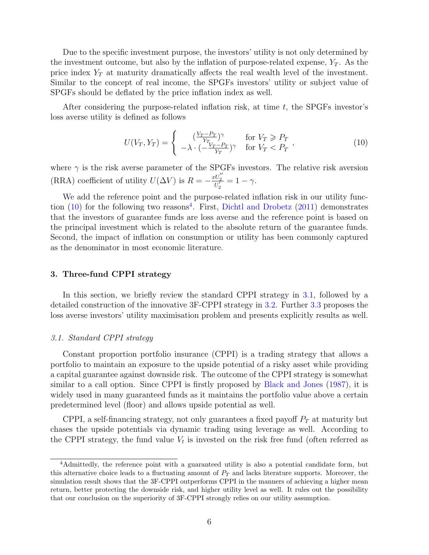Due to the specific investment purpose, the investors' utility is not only determined by the investment outcome, but also by the inflation of purpose-related expense,  $Y_T$ . As the price index  $Y_T$  at maturity dramatically affects the real wealth level of the investment. Similar to the concept of real income, the SPGFs investors' utility or subject value of SPGFs should be deflated by the price inflation index as well.

After considering the purpose-related inflation risk, at time  $t$ , the SPGFs investor's loss averse utility is defined as follows

<span id="page-5-0"></span>
$$
U(V_T, Y_T) = \begin{cases} \frac{(V_T - P_T)}{Y_T} & \text{for } V_T \ge P_T \\ -\lambda \cdot \left(-\frac{V_T - P_T}{Y_T}\right)^\gamma & \text{for } V_T < P_T \end{cases},\tag{10}
$$

where  $\gamma$  is the risk averse parameter of the SPGFs investors. The relative risk aversion (RRA) coefficient of utility  $U(\Delta V)$  is  $R = -\frac{xU_2''}{U_2'} = 1 - \gamma$ .

We add the reference point and the purpose-related inflation risk in our utility function  $(10)$  for the following two reasons<sup>[4](#page-5-1)</sup>. First, [Dichtl and Drobetz](#page-29-5)  $(2011)$  demonstrates that the investors of guarantee funds are loss averse and the reference point is based on the principal investment which is related to the absolute return of the guarantee funds. Second, the impact of inflation on consumption or utility has been commonly captured as the denominator in most economic literature.

#### <span id="page-5-3"></span>3. Three-fund CPPI strategy

In this section, we briefly review the standard CPPI strategy in [3.1,](#page-5-2) followed by a detailed construction of the innovative 3F-CPPI strategy in [3.2.](#page-6-0) Further [3.3](#page-7-0) proposes the loss averse investors' utility maximisation problem and presents explicitly results as well.

#### <span id="page-5-2"></span>3.1. Standard CPPI strategy

Constant proportion portfolio insurance (CPPI) is a trading strategy that allows a portfolio to maintain an exposure to the upside potential of a risky asset while providing a capital guarantee against downside risk. The outcome of the CPPI strategy is somewhat similar to a call option. Since CPPI is firstly proposed by [Black and Jones](#page-28-3) [\(1987\)](#page-28-3), it is widely used in many guaranteed funds as it maintains the portfolio value above a certain predetermined level (floor) and allows upside potential as well.

CPPI, a self-financing strategy, not only guarantees a fixed payoff  $P_T$  at maturity but chases the upside potentials via dynamic trading using leverage as well. According to the CPPI strategy, the fund value  $V_t$  is invested on the risk free fund (often referred as

<span id="page-5-1"></span><sup>4</sup>Admittedly, the reference point with a guaranteed utility is also a potential candidate form, but this alternative choice leads to a fluctuating amount of  $P<sub>T</sub>$  and lacks literature supports. Moreover, the simulation result shows that the 3F-CPPI outperforms CPPI in the manners of achieving a higher mean return, better protecting the downside risk, and higher utility level as well. It rules out the possibility that our conclusion on the superiority of 3F-CPPI strongly relies on our utility assumption.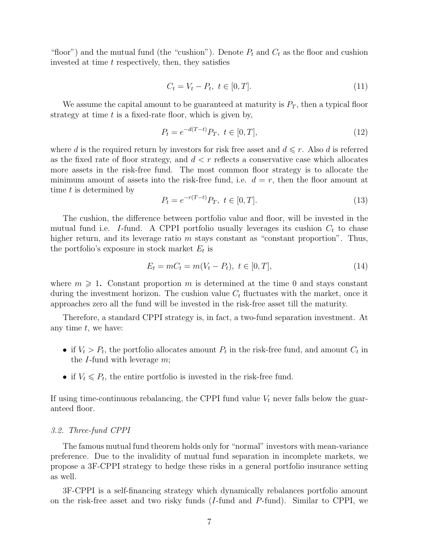"floor") and the mutual fund (the "cushion"). Denote  $P_t$  and  $C_t$  as the floor and cushion invested at time  $t$  respectively, then, they satisfies

$$
C_t = V_t - P_t, \ t \in [0, T]. \tag{11}
$$

We assume the capital amount to be guaranteed at maturity is  $P_T$ , then a typical floor strategy at time  $t$  is a fixed-rate floor, which is given by,

$$
P_t = e^{-d(T-t)} P_T, \ t \in [0, T], \tag{12}
$$

where d is the required return by investors for risk free asset and  $d \leq r$ . Also d is referred as the fixed rate of floor strategy, and  $d < r$  reflects a conservative case which allocates more assets in the risk-free fund. The most common floor strategy is to allocate the minimum amount of assets into the risk-free fund, i.e.  $d = r$ , then the floor amount at time t is determined by

$$
P_t = e^{-r(T-t)} P_T, \ t \in [0, T]. \tag{13}
$$

The cushion, the difference between portfolio value and floor, will be invested in the mutual fund i.e. I-fund. A CPPI portfolio usually leverages its cushion  $C_t$  to chase higher return, and its leverage ratio m stays constant as "constant proportion". Thus, the portfolio's exposure in stock market  $E_t$  is

$$
E_t = mC_t = m(V_t - P_t), \ t \in [0, T], \tag{14}
$$

where  $m \geq 1$ . Constant proportion m is determined at the time 0 and stays constant during the investment horizon. The cushion value  $C_t$  fluctuates with the market, once it approaches zero all the fund will be invested in the risk-free asset till the maturity.

Therefore, a standard CPPI strategy is, in fact, a two-fund separation investment. At any time  $t$ , we have:

- if  $V_t > P_t$ , the portfolio allocates amount  $P_t$  in the risk-free fund, and amount  $C_t$  in the  $I$ -fund with leverage  $m$ ;
- if  $V_t \n\leq P_t$ , the entire portfolio is invested in the risk-free fund.

If using time-continuous rebalancing, the CPPI fund value  $V_t$  never falls below the guaranteed floor.

#### <span id="page-6-0"></span>3.2. Three-fund CPPI

The famous mutual fund theorem holds only for "normal" investors with mean-variance preference. Due to the invalidity of mutual fund separation in incomplete markets, we propose a 3F-CPPI strategy to hedge these risks in a general portfolio insurance setting as well.

3F-CPPI is a self-financing strategy which dynamically rebalances portfolio amount on the risk-free asset and two risky funds  $(I$ -fund and  $P$ -fund). Similar to CPPI, we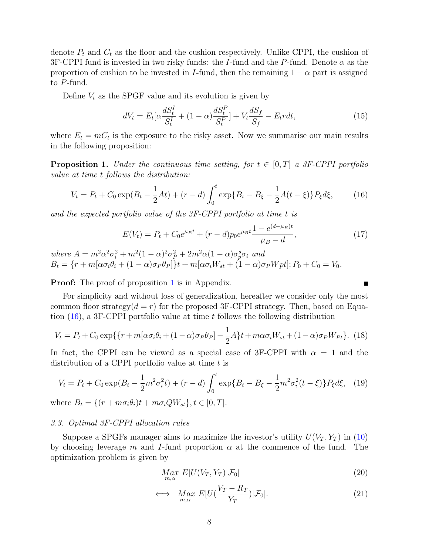denote  $P_t$  and  $C_t$  as the floor and the cushion respectively. Unlike CPPI, the cushion of 3F-CPPI fund is invested in two risky funds: the I-fund and the P-fund. Denote  $\alpha$  as the proportion of cushion to be invested in I-fund, then the remaining  $1 - \alpha$  part is assigned to P-fund.

Define  $V_t$  as the SPGF value and its evolution is given by

$$
dV_t = E_t[\alpha \frac{dS_t^I}{S_t^I} + (1 - \alpha) \frac{dS_t^P}{S_t^P}] + V_t \frac{dS_f}{S_f} - E_t r dt,
$$
\n(15)

where  $E_t = mC_t$  is the exposure to the risky asset. Now we summarise our main results in the following proposition:

<span id="page-7-1"></span>**Proposition 1.** Under the continuous time setting, for  $t \in [0, T]$  a 3F-CPPI portfolio value at time t follows the distribution:

<span id="page-7-2"></span>
$$
V_t = P_t + C_0 \exp(B_t - \frac{1}{2}At) + (r - d) \int_0^t \exp\{B_t - B_\xi - \frac{1}{2}A(t - \xi)\} P_\xi d\xi, \tag{16}
$$

and the expected portfolio value of the 3F-CPPI portfolio at time t is

$$
E(V_t) = P_t + C_0 e^{\mu_B t} + (r - d) p_0 e^{\mu_B t} \frac{1 - e^{(d - \mu_B)t}}{\mu_B - d},
$$
\n(17)

where  $A = m^2 \alpha^2 \sigma_i^2 + m^2 (1 - \alpha)^2 \sigma_P^2 + 2 m^2 \alpha (1 - \alpha) \sigma_p^s \sigma_i$  and  $B_t = \{r + m[\alpha \sigma_i \theta_i + (1 - \alpha) \sigma_P \theta_P]\}t + m[\alpha \sigma_i W_{st} + (1 - \alpha) \sigma_P W_{pt}]; P_0 + C_0 = V_0.$ 

**Proof:** The proof of proposition [1](#page-7-1) is in Appendix.

For simplicity and without loss of generalization, hereafter we consider only the most common floor strategy $(d = r)$  for the proposed 3F-CPPI strategy. Then, based on Equation  $(16)$ , a 3F-CPPI portfolio value at time t follows the following distribution

$$
V_t = P_t + C_0 \exp\{\{r + m[\alpha \sigma_i \theta_i + (1 - \alpha)\sigma_P \theta_P] - \frac{1}{2}A\}t + m\alpha \sigma_i W_{st} + (1 - \alpha)\sigma_P W_{Pt}\}. \tag{18}
$$

In fact, the CPPI can be viewed as a special case of 3F-CPPI with  $\alpha = 1$  and the distribution of a CPPI portfolio value at time  $t$  is

$$
V_t = P_t + C_0 \exp(B_t - \frac{1}{2}m^2 \sigma_i^2 t) + (r - d) \int_0^t \exp\{B_t - B_\xi - \frac{1}{2}m^2 \sigma_i^2 (t - \xi)\} P_\xi d\xi, \tag{19}
$$

where  $B_t = \{(r + m\sigma_i\theta_i)t + m\sigma_iQW_{st}\}, t \in [0, T].$ 

#### <span id="page-7-0"></span>3.3. Optimal 3F-CPPI allocation rules

Suppose a SPGFs manager aims to maximize the investor's utility  $U(V_T, Y_T)$  in [\(10\)](#page-5-0) by choosing leverage m and I-fund proportion  $\alpha$  at the commence of the fund. The optimization problem is given by

$$
\underset{m,\alpha}{Max} E[U(V_T, Y_T)|\mathcal{F}_0] \tag{20}
$$

$$
\iff \underset{m,\alpha}{Max} E[U(\frac{V_T - R_T}{Y_T}) | \mathcal{F}_0]. \tag{21}
$$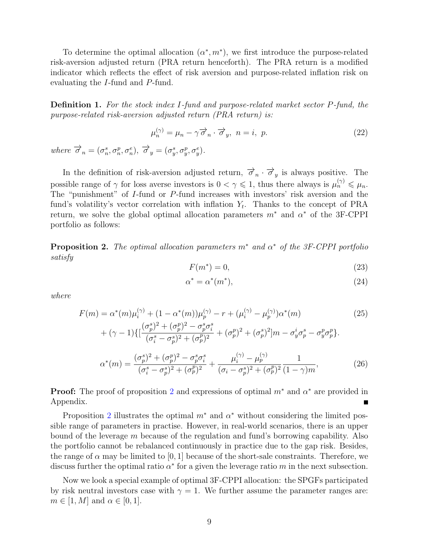To determine the optimal allocation  $(\alpha^*, m^*)$ , we first introduce the purpose-related risk-aversion adjusted return (PRA return henceforth). The PRA return is a modified indicator which reflects the effect of risk aversion and purpose-related inflation risk on evaluating the I-fund and P-fund.

Definition 1. For the stock index I-fund and purpose-related market sector P-fund, the purpose-related risk-aversion adjusted return (PRA return) is:

$$
\mu_n^{(\gamma)} = \mu_n - \gamma \overrightarrow{\sigma}_n \cdot \overrightarrow{\sigma}_y, \ n = i, p. \tag{22}
$$

where  $\overrightarrow{\sigma}_n = (\sigma_n^s, \sigma_n^p, \sigma_n^e), \overrightarrow{\sigma}_y = (\sigma_y^s, \sigma_y^p, \sigma_y^e).$ 

In the definition of risk-aversion adjusted return,  $\vec{\sigma}_n \cdot \vec{\sigma}_y$  is always positive. The possible range of  $\gamma$  for loss averse investors is  $0 < \gamma \leq 1$ , thus there always is  $\mu_n^{(\gamma)} \leq \mu_n$ . The "punishment" of I-fund or P-fund increases with investors' risk aversion and the fund's volatility's vector correlation with inflation  $Y_t$ . Thanks to the concept of PRA return, we solve the global optimal allocation parameters  $m^*$  and  $\alpha^*$  of the 3F-CPPI portfolio as follows:

<span id="page-8-0"></span>**Proposition 2.** The optimal allocation parameters  $m^*$  and  $\alpha^*$  of the 3F-CPPI portfolio satisfy

$$
F(m^*) = 0,\t\t(23)
$$

$$
\alpha^* = \alpha^*(m^*),\tag{24}
$$

where

$$
F(m) = \alpha^*(m)\mu_i^{(\gamma)} + (1 - \alpha^*(m))\mu_p^{(\gamma)} - r + (\mu_i^{(\gamma)} - \mu_p^{(\gamma)})\alpha^*(m)
$$
  
+ 
$$
(\gamma - 1)\{[\frac{(\sigma_p^s)^2 + (\sigma_p^p)^2 - \sigma_p^s \sigma_i^s}{(\sigma_i^s - \sigma_p^s)^2 + (\sigma_p^p)^2} + (\sigma_p^p)^2 + (\sigma_p^s)^2]m - \sigma_y^i \sigma_p^s - \sigma_y^p \sigma_p^p\}.
$$
 (25)

<span id="page-8-1"></span>
$$
\alpha^*(m) = \frac{(\sigma_p^s)^2 + (\sigma_p^p)^2 - \sigma_p^s \sigma_i^s}{(\sigma_i^s - \sigma_p^s)^2 + (\sigma_p^p)^2} + \frac{\mu_i^{(\gamma)} - \mu_p^{(\gamma)}}{(\sigma_i - \sigma_p^s)^2 + (\sigma_p^p)^2} \frac{1}{(1 - \gamma)m},
$$
(26)

**Proof:** The proof of proposition [2](#page-8-0) and expressions of optimal  $m^*$  and  $\alpha^*$  are provided in Appendix.

Proposition [2](#page-8-0) illustrates the optimal  $m^*$  and  $\alpha^*$  without considering the limited possible range of parameters in practise. However, in real-world scenarios, there is an upper bound of the leverage  $m$  because of the regulation and fund's borrowing capability. Also the portfolio cannot be rebalanced continuously in practice due to the gap risk. Besides, the range of  $\alpha$  may be limited to [0, 1] because of the short-sale constraints. Therefore, we discuss further the optimal ratio  $\alpha^*$  for a given the leverage ratio m in the next subsection.

Now we look a special example of optimal 3F-CPPI allocation: the SPGFs participated by risk neutral investors case with  $\gamma = 1$ . We further assume the parameter ranges are:  $m \in [1, M]$  and  $\alpha \in [0, 1]$ .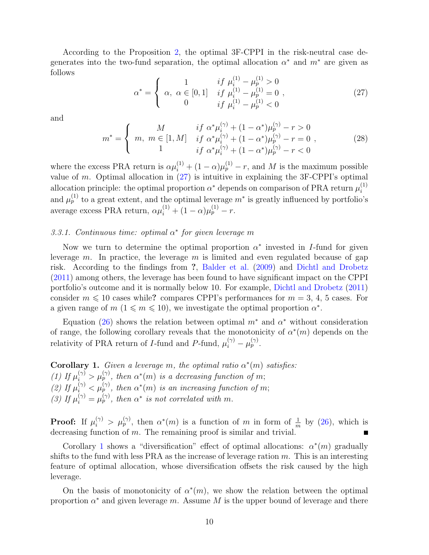According to the Proposition [2,](#page-8-0) the optimal 3F-CPPI in the risk-neutral case degenerates into the two-fund separation, the optimal allocation  $\alpha^*$  and  $m^*$  are given as follows  $\sqrt{1}$ 

<span id="page-9-0"></span>
$$
\alpha^* = \begin{cases}\n1 & \text{if } \mu_i^{(1)} - \mu_p^{(1)} > 0 \\
\alpha, \ \alpha \in [0, 1] & \text{if } \mu_i^{(1)} - \mu_p^{(1)} = 0 \\
0 & \text{if } \mu_i^{(1)} - \mu_p^{(1)} < 0\n\end{cases} \tag{27}
$$

and

$$
m^* = \begin{cases} M & if \alpha^* \mu_i^{(\gamma)} + (1 - \alpha^*) \mu_p^{(\gamma)} - r > 0 \\ m, \ m \in [1, M] & if \alpha^* \mu_i^{(\gamma)} + (1 - \alpha^*) \mu_p^{(\gamma)} - r = 0 \\ 1 & if \alpha^* \mu_i^{(\gamma)} + (1 - \alpha^*) \mu_p^{(\gamma)} - r < 0 \end{cases}
$$
 (28)

where the excess PRA return is  $\alpha \mu_i^{(1)} + (1 - \alpha) \mu_p^{(1)} - r$ , and M is the maximum possible value of  $m$ . Optimal allocation in  $(27)$  is intuitive in explaining the 3F-CPPI's optimal allocation principle: the optimal proportion  $\alpha^*$  depends on comparison of PRA return  $\mu_i^{(1)}$ i and  $\mu_p^{(1)}$  to a great extent, and the optimal leverage  $m^*$  is greatly influenced by portfolio's average excess PRA return,  $\alpha \mu_i^{(1)} + (1 - \alpha) \mu_p^{(1)} - r$ .

# 3.3.1. Continuous time: optimal  $\alpha^*$  for given leverage m

Now we turn to determine the optimal proportion  $\alpha^*$  invested in I-fund for given leverage m. In practice, the leverage m is limited and even regulated because of gap risk. According to the findings from ?, [Balder et al.](#page-28-5) [\(2009\)](#page-28-5) and [Dichtl and Drobetz](#page-29-5) [\(2011\)](#page-29-5) among others, the leverage has been found to have significant impact on the CPPI portfolio's outcome and it is normally below 10. For example, [Dichtl and Drobetz](#page-29-5) [\(2011\)](#page-29-5) consider  $m \leq 10$  cases while? compares CPPI's performances for  $m = 3, 4, 5$  cases. For a given range of  $m$  ( $1 \leq m \leq 10$ ), we investigate the optimal proportion  $\alpha^*$ .

Equation [\(26\)](#page-8-1) shows the relation between optimal  $m^*$  and  $\alpha^*$  without consideration of range, the following corollary reveals that the monotonicity of  $\alpha^*(m)$  depends on the relativity of PRA return of *I*-fund and *P*-fund,  $\mu_i^{(\gamma)} - \mu_p^{(\gamma)}$ .

<span id="page-9-1"></span>**Corollary 1.** Given a leverage m, the optimal ratio  $\alpha^*(m)$  satisfies: (1) If  $\mu_i^{(\gamma)} > \mu_p^{(\gamma)}$ , then  $\alpha^*(m)$  is a decreasing function of m; (2) If  $\mu_i^{(\gamma)} < \mu_p^{(\gamma)}$ , then  $\alpha^*(m)$  is an increasing function of m; (3) If  $\mu_i^{(\gamma)} = \mu_p^{(\gamma)}$ , then  $\alpha^*$  is not correlated with m.

**Proof:** If  $\mu_i^{(\gamma)} > \mu_p^{(\gamma)}$ , then  $\alpha^*(m)$  is a function of m in form of  $\frac{1}{m}$  by [\(26\)](#page-8-1), which is decreasing function of  $m$ . The remaining proof is similar and trivial.

Corollary [1](#page-9-1) shows a "diversification" effect of optimal allocations:  $\alpha^*(m)$  gradually shifts to the fund with less PRA as the increase of leverage ration  $m$ . This is an interesting feature of optimal allocation, whose diversification offsets the risk caused by the high leverage.

On the basis of monotonicity of  $\alpha^*(m)$ , we show the relation between the optimal proportion  $\alpha^*$  and given leverage m. Assume M is the upper bound of leverage and there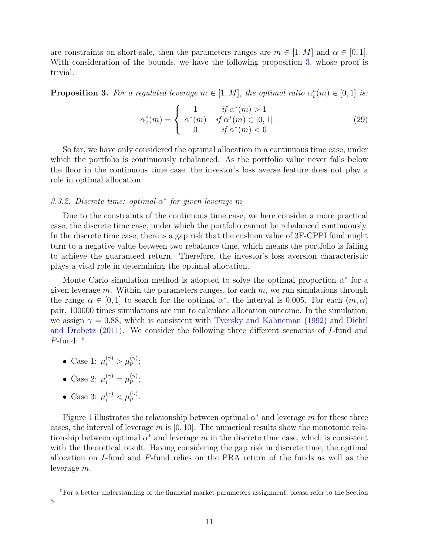are constraints on short-sale, then the parameters ranges are  $m \in [1, M]$  and  $\alpha \in [0, 1]$ . With consideration of the bounds, we have the following proposition [3,](#page-10-0) whose proof is trivial.

<span id="page-10-0"></span>**Proposition 3.** For a regulated leverage  $m \in [1, M]$ , the optimal ratio  $\alpha_c^*(m) \in [0, 1]$  is:

$$
\alpha_c^*(m) = \begin{cases}\n1 & \text{if } \alpha^*(m) > 1 \\
\alpha^*(m) & \text{if } \alpha^*(m) \in [0, 1] \\
0 & \text{if } \alpha^*(m) < 0\n\end{cases} .
$$
\n(29)

So far, we have only considered the optimal allocation in a continuous time case, under which the portfolio is continuously rebalanced. As the portfolio value never falls below the floor in the continuous time case, the investor's loss averse feature does not play a role in optimal allocation.

# 3.3.2. Discrete time: optimal  $\alpha^*$  for given leverage m

Due to the constraints of the continuous time case, we here consider a more practical case, the discrete time case, under which the portfolio cannot be rebalanced continuously. In the discrete time case, there is a gap risk that the cushion value of 3F-CPPI fund might turn to a negative value between two rebalance time, which means the portfolio is failing to achieve the guaranteed return. Therefore, the investor's loss aversion characteristic plays a vital role in determining the optimal allocation.

Monte Carlo simulation method is adopted to solve the optimal proportion  $\alpha^*$  for a given leverage  $m$ . Within the parameters ranges, for each  $m$ , we run simulations through the range  $\alpha \in [0,1]$  to search for the optimal  $\alpha^*$ , the interval is 0.005. For each  $(m,\alpha)$ pair, 100000 times simulations are run to calculate allocation outcome. In the simulation, we assign  $\gamma = 0.88$ , which is consistent with [Tversky and Kahneman](#page-30-8) [\(1992\)](#page-30-8) and [Dichtl](#page-29-5) [and Drobetz](#page-29-5) [\(2011\)](#page-29-5). We consider the following three different scenarios of I-fund and  $P$ -fund:  $5$ 

- Case 1:  $\mu_i^{(\gamma)} > \mu_p^{(\gamma)}$ ;
- Case 2:  $\mu_i^{(\gamma)} = \mu_p^{(\gamma)};$
- Case 3:  $\mu_i^{(\gamma)} < \mu_p^{(\gamma)}$ .

Figure 1 illustrates the relationship between optimal  $\alpha^*$  and leverage m for these three cases, the interval of leverage m is  $[0, 10]$ . The numerical results show the monotonic relationship between optimal  $\alpha^*$  and leverage m in the discrete time case, which is consistent with the theoretical result. Having considering the gap risk in discrete time, the optimal allocation on I-fund and P-fund relies on the PRA return of the funds as well as the leverage m.

<span id="page-10-1"></span> ${}^{5}$ For a better understanding of the financial market parameters assignment, please refer to the Section 5.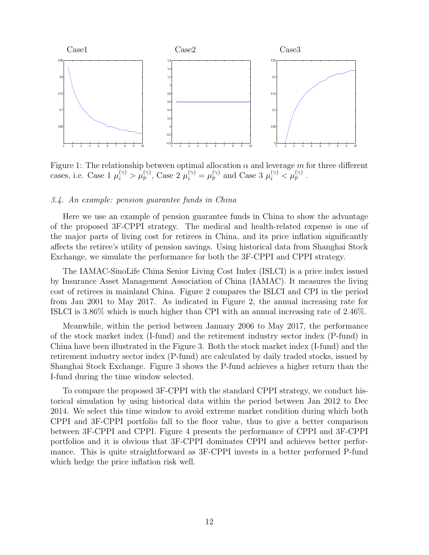

Figure 1: The relationship between optimal allocation  $\alpha$  and leverage m for three different cases, i.e. Case  $1 \mu_i^{(\gamma)} > \mu_p^{(\gamma)}$ , Case  $2 \mu_i^{(\gamma)} = \mu_p^{(\gamma)}$  and Case  $3 \mu_i^{(\gamma)} < \mu_p^{(\gamma)}$ .

#### 3.4. An example: pension guarantee funds in China

Here we use an example of pension guarantee funds in China to show the advantage of the proposed 3F-CPPI strategy. The medical and health-related expense is one of the major parts of living cost for retirees in China, and its price inflation significantly affects the retiree's utility of pension savings. Using historical data from Shanghai Stock Exchange, we simulate the performance for both the 3F-CPPI and CPPI strategy.

The IAMAC-SinoLife China Senior Living Cost Index (ISLCI) is a price index issued by Insurance Asset Management Association of China (IAMAC). It measures the living cost of retirees in mainland China. Figure 2 compares the ISLCI and CPI in the period from Jan 2001 to May 2017. As indicated in Figure 2, the annual increasing rate for ISLCI is 3.86% which is much higher than CPI with an annual increasing rate of 2.46%.

Meanwhile, within the period between January 2006 to May 2017, the performance of the stock market index (I-fund) and the retirement industry sector index (P-fund) in China have been illustrated in the Figure 3. Both the stock market index (I-fund) and the retirement industry sector index (P-fund) are calculated by daily traded stocks, issued by Shanghai Stock Exchange. Figure 3 shows the P-fund achieves a higher return than the I-fund during the time window selected.

To compare the proposed 3F-CPPI with the standard CPPI strategy, we conduct historical simulation by using historical data within the period between Jan 2012 to Dec 2014. We select this time window to avoid extreme market condition during which both CPPI and 3F-CPPI portfolio fall to the floor value, thus to give a better comparison between 3F-CPPI and CPPI. Figure 4 presents the performance of CPPI and 3F-CPPI portfolios and it is obvious that 3F-CPPI dominates CPPI and achieves better performance. This is quite straightforward as 3F-CPPI invests in a better performed P-fund which hedge the price inflation risk well.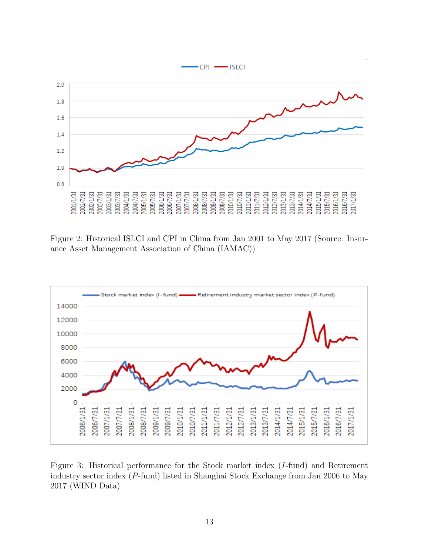

Figure 2: Historical ISLCI and CPI in China from Jan 2001 to May 2017 (Source: Insurance Asset Management Association of China (IAMAC))



Figure 3: Historical performance for the Stock market index (I-fund) and Retirement industry sector index (P-fund) listed in Shanghai Stock Exchange from Jan 2006 to May 2017 (WIND Data)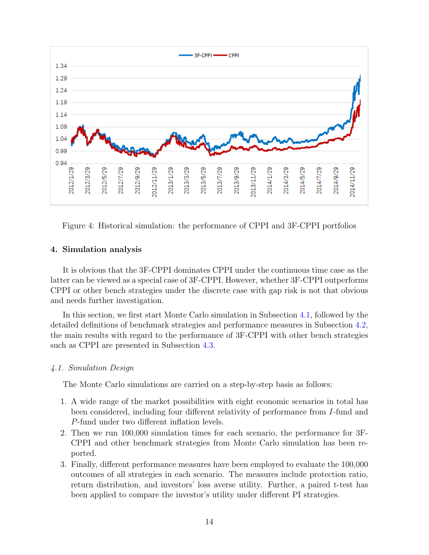

Figure 4: Historical simulation: the performance of CPPI and 3F-CPPI portfolios

### 4. Simulation analysis

It is obvious that the 3F-CPPI dominates CPPI under the continuous time case as the latter can be viewed as a special case of 3F-CPPI. However, whether 3F-CPPI outperforms CPPI or other bench strategies under the discrete case with gap risk is not that obvious and needs further investigation.

In this section, we first start Monte Carlo simulation in Subsection [4.1,](#page-13-0) followed by the detailed definitions of benchmark strategies and performance measures in Subsection [4.2,](#page-15-0) the main results with regard to the performance of 3F-CPPI with other bench strategies such as CPPI are presented in Subsection [4.3.](#page-16-0)

#### <span id="page-13-0"></span>4.1. Simulation Design

The Monte Carlo simulations are carried on a step-by-step basis as follows:

- 1. A wide range of the market possibilities with eight economic scenarios in total has been considered, including four different relativity of performance from I-fund and P-fund under two different inflation levels.
- 2. Then we run 100,000 simulation times for each scenario, the performance for 3F-CPPI and other benchmark strategies from Monte Carlo simulation has been reported.
- 3. Finally, different performance measures have been employed to evaluate the 100,000 outcomes of all strategies in each scenario. The measures include protection ratio, return distribution, and investors' loss averse utility. Further, a paired t-test has been applied to compare the investor's utility under different PI strategies.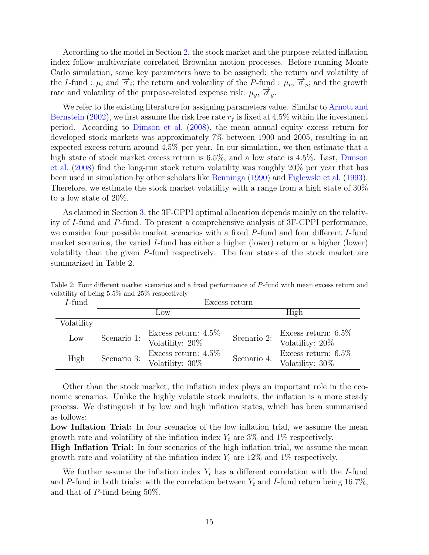According to the model in Section [2,](#page-3-0) the stock market and the purpose-related inflation index follow multivariate correlated Brownian motion processes. Before running Monte Carlo simulation, some key parameters have to be assigned: the return and volatility of the I-fund :  $\mu_i$  and  $\overrightarrow{\sigma}_i$ ; the return and volatility of the P-fund :  $\mu_p$ ,  $\overrightarrow{\sigma}_p$ ; and the growth rate and volatility of the purpose-related expense risk:  $\mu_y$ ,  $\vec{\sigma}_y$ .

We refer to the existing literature for assigning parameters value. Similar to [Arnott and](#page-28-6) [Bernstein](#page-28-6) [\(2002\)](#page-28-6), we first assume the risk free rate  $r_f$  is fixed at 4.5% within the investment period. According to [Dimson et al.](#page-29-10) [\(2008\)](#page-29-10), the mean annual equity excess return for developed stock markets was approximately 7% between 1900 and 2005, resulting in an expected excess return around 4.5% per year. In our simulation, we then estimate that a high state of stock market excess return is 6.5%, and a low state is 4.5%. Last, [Dimson](#page-29-10) [et al.](#page-29-10) [\(2008\)](#page-29-10) find the long-run stock return volatility was roughly 20% per year that has been used in simulation by other scholars like [Benninga](#page-28-7) [\(1990\)](#page-28-7) and [Figlewski et al.](#page-29-11) [\(1993\)](#page-29-11). Therefore, we estimate the stock market volatility with a range from a high state of 30% to a low state of 20%.

As claimed in Section [3,](#page-5-3) the 3F-CPPI optimal allocation depends mainly on the relativity of I-fund and P-fund. To present a comprehensive analysis of 3F-CPPI performance, we consider four possible market scenarios with a fixed P-fund and four different I-fund market scenarios, the varied I-fund has either a higher (lower) return or a higher (lower) volatility than the given P-fund respectively. The four states of the stock market are summarized in Table 2.

| $I$ -fund  | Excess return |                                            |             |                                           |  |  |
|------------|---------------|--------------------------------------------|-------------|-------------------------------------------|--|--|
|            |               | Low                                        | High        |                                           |  |  |
| Volatility |               |                                            |             |                                           |  |  |
| Low        | Scenario 1:   | Excess return: $4.5\%$<br>Volatility: 20%  | Scenario 2: | Excess return: $6.5\%$<br>Volatility: 20% |  |  |
| High       | Scenario 3:   | Excess return: $4.5\%$<br>Volatility: 30\% | Scenario 4: | Excess return: $6.5\%$<br>Volatility: 30% |  |  |

Table 2: Four different market scenarios and a fixed performance of P-fund with mean excess return and volatility of being 5.5% and 25% respectively

Other than the stock market, the inflation index plays an important role in the economic scenarios. Unlike the highly volatile stock markets, the inflation is a more steady process. We distinguish it by low and high inflation states, which has been summarised as follows:

Low Inflation Trial: In four scenarios of the low inflation trial, we assume the mean growth rate and volatility of the inflation index  $Y_t$  are 3% and 1% respectively.

High Inflation Trial: In four scenarios of the high inflation trial, we assume the mean growth rate and volatility of the inflation index  $Y_t$  are 12% and 1% respectively.

We further assume the inflation index  $Y_t$  has a different correlation with the I-fund and P-fund in both trials: with the correlation between  $Y_t$  and I-fund return being 16.7%, and that of P-fund being 50%.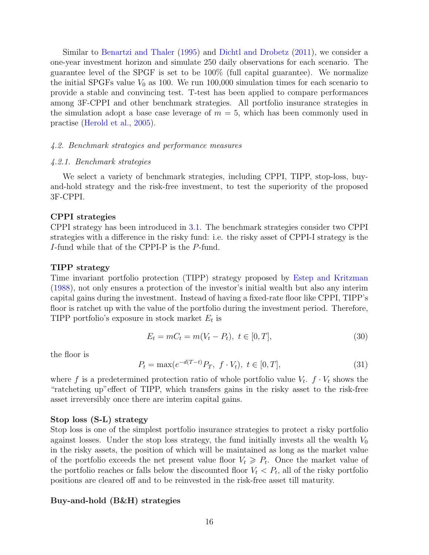Similar to [Benartzi and Thaler](#page-28-8) [\(1995\)](#page-28-8) and [Dichtl and Drobetz](#page-29-5) [\(2011\)](#page-29-5), we consider a one-year investment horizon and simulate 250 daily observations for each scenario. The guarantee level of the SPGF is set to be 100% (full capital guarantee). We normalize the initial SPGFs value  $V_0$  as 100. We run 100,000 simulation times for each scenario to provide a stable and convincing test. T-test has been applied to compare performances among 3F-CPPI and other benchmark strategies. All portfolio insurance strategies in the simulation adopt a base case leverage of  $m = 5$ , which has been commonly used in practise [\(Herold et al.,](#page-29-12) [2005\)](#page-29-12).

#### <span id="page-15-0"></span>4.2. Benchmark strategies and performance measures

#### 4.2.1. Benchmark strategies

We select a variety of benchmark strategies, including CPPI, TIPP, stop-loss, buyand-hold strategy and the risk-free investment, to test the superiority of the proposed 3F-CPPI.

#### CPPI strategies

CPPI strategy has been introduced in [3.1.](#page-5-2) The benchmark strategies consider two CPPI strategies with a difference in the risky fund: i.e. the risky asset of CPPI-I strategy is the I-fund while that of the CPPI-P is the P-fund.

#### TIPP strategy

Time invariant portfolio protection (TIPP) strategy proposed by [Estep and Kritzman](#page-29-13) [\(1988\)](#page-29-13), not only ensures a protection of the investor's initial wealth but also any interim capital gains during the investment. Instead of having a fixed-rate floor like CPPI, TIPP's floor is ratchet up with the value of the portfolio during the investment period. Therefore, TIPP portfolio's exposure in stock market  $E_t$  is

$$
E_t = mC_t = m(V_t - P_t), \ t \in [0, T], \tag{30}
$$

the floor is

$$
P_t = \max(e^{-d(T-t)}P_T, \ f \cdot V_t), \ t \in [0, T], \tag{31}
$$

where f is a predetermined protection ratio of whole portfolio value  $V_t$ .  $f \cdot V_t$  shows the "ratcheting up"effect of TIPP, which transfers gains in the risky asset to the risk-free asset irreversibly once there are interim capital gains.

#### Stop loss (S-L) strategy

Stop loss is one of the simplest portfolio insurance strategies to protect a risky portfolio against losses. Under the stop loss strategy, the fund initially invests all the wealth  $V_0$ in the risky assets, the position of which will be maintained as long as the market value of the portfolio exceeds the net present value floor  $V_t \ge P_t$ . Once the market value of the portfolio reaches or falls below the discounted floor  $V_t < P_t$ , all of the risky portfolio positions are cleared off and to be reinvested in the risk-free asset till maturity.

#### Buy-and-hold (B&H) strategies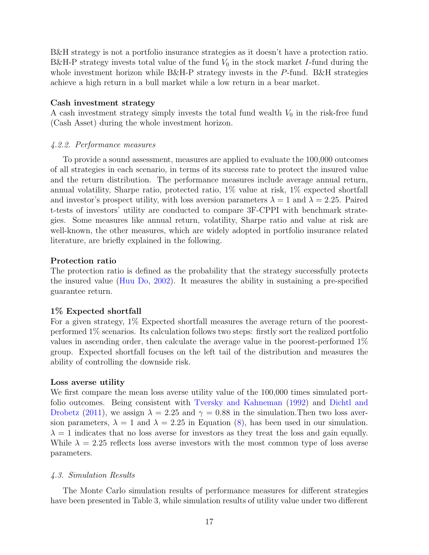B&H strategy is not a portfolio insurance strategies as it doesn't have a protection ratio. B&H-P strategy invests total value of the fund  $V_0$  in the stock market I-fund during the whole investment horizon while B&H-P strategy invests in the P-fund. B&H strategies achieve a high return in a bull market while a low return in a bear market.

#### Cash investment strategy

A cash investment strategy simply invests the total fund wealth  $V_0$  in the risk-free fund (Cash Asset) during the whole investment horizon.

#### 4.2.2. Performance measures

To provide a sound assessment, measures are applied to evaluate the 100,000 outcomes of all strategies in each scenario, in terms of its success rate to protect the insured value and the return distribution. The performance measures include average annual return, annual volatility, Sharpe ratio, protected ratio, 1% value at risk, 1% expected shortfall and investor's prospect utility, with loss aversion parameters  $\lambda = 1$  and  $\lambda = 2.25$ . Paired t-tests of investors' utility are conducted to compare 3F-CPPI with benchmark strategies. Some measures like annual return, volatility, Sharpe ratio and value at risk are well-known, the other measures, which are widely adopted in portfolio insurance related literature, are briefly explained in the following.

#### Protection ratio

The protection ratio is defined as the probability that the strategy successfully protects the insured value [\(Huu Do,](#page-29-14) [2002\)](#page-29-14). It measures the ability in sustaining a pre-specified guarantee return.

#### 1% Expected shortfall

For a given strategy, 1% Expected shortfall measures the average return of the poorestperformed 1% scenarios. Its calculation follows two steps: firstly sort the realized portfolio values in ascending order, then calculate the average value in the poorest-performed 1% group. Expected shortfall focuses on the left tail of the distribution and measures the ability of controlling the downside risk.

#### Loss averse utility

We first compare the mean loss averse utility value of the  $100,000$  times simulated portfolio outcomes. Being consistent with [Tversky and Kahneman](#page-30-8) [\(1992\)](#page-30-8) and [Dichtl and](#page-29-5) [Drobetz](#page-29-5) [\(2011\)](#page-29-5), we assign  $\lambda = 2.25$  and  $\gamma = 0.88$  in the simulation. Then two loss aversion parameters,  $\lambda = 1$  and  $\lambda = 2.25$  in Equation [\(8\)](#page-4-1), has been used in our simulation.  $\lambda = 1$  indicates that no loss averse for investors as they treat the loss and gain equally. While  $\lambda = 2.25$  reflects loss averse investors with the most common type of loss averse parameters.

#### <span id="page-16-0"></span>4.3. Simulation Results

The Monte Carlo simulation results of performance measures for different strategies have been presented in Table 3, while simulation results of utility value under two different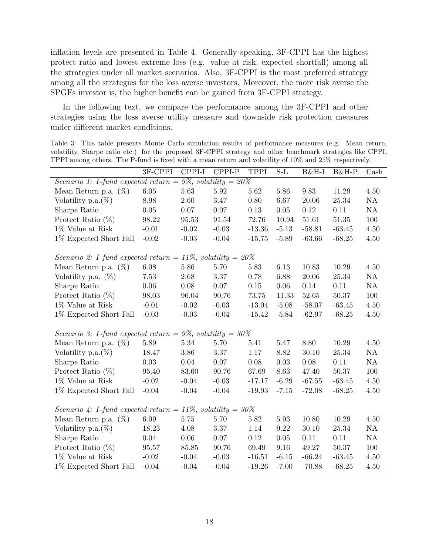inflation levels are presented in Table 4. Generally speaking, 3F-CPPI has the highest protect ratio and lowest extreme loss (e.g. value at risk, expected shortfall) among all the strategies under all market scenarios. Also, 3F-CPPI is the most preferred strategy among all the strategies for the loss averse investors. Moreover, the more risk averse the SPGFs investor is, the higher benefit can be gained from 3F-CPPI strategy.

In the following text, we compare the performance among the 3F-CPPI and other strategies using the loss averse utility measure and downside risk protection measures under different market conditions.

Table 3: This table presents Monte Carlo simulation results of performance measures (e.g. Mean return, volatility, Sharpe ratio etc.) for the proposed 3F-CPPI strategy and other benchmark strategies like CPPI, TPPI among others. The P-fund is fixed with a mean return and volatility of 10% and 25% respectively.

|                                                                  | 3F-CPPI  | CPPI-I   | CPPI-P    | <b>TPPI</b> | $S-L$    | B&H-I     | B&H-P     | $\operatorname{Cash}$ |  |
|------------------------------------------------------------------|----------|----------|-----------|-------------|----------|-----------|-----------|-----------------------|--|
| Scenario 1: I-fund expected return = $9\%$ , volatility = $20\%$ |          |          |           |             |          |           |           |                       |  |
| Mean Return p.a. $(\%)$                                          | 6.05     | 5.63     | 5.92      | 5.62        | 5.86     | 9.83      | 11.29     | 4.50                  |  |
| Volatility p.a. $(\%)$                                           | 8.98     | 2.60     | 3.47      | 0.80        | 6.67     | 20.06     | 25.34     | NA                    |  |
| Sharpe Ratio                                                     | 0.05     | 0.07     | 0.07      | 0.13        | 0.05     | 0.12      | 0.11      | NA                    |  |
| Protect Ratio $(\%)$                                             | 98.22    | 95.53    | $91.54\,$ | 72.76       | 10.94    | 51.61     | $51.35\,$ | 100                   |  |
| $1\%$ Value at Risk                                              | $-0.01$  | $-0.02$  | $-0.03$   | $-13.36$    | $-5.13$  | $-58.81$  | $-63.45$  | $4.50\,$              |  |
| 1% Expected Short Fall                                           | $-0.02$  | $-0.03$  | $-0.04$   | $-15.75$    | $-5.89$  | $-63.66$  | $-68.25$  | 4.50                  |  |
| Scenario 2: I-fund expected return = 11%, volatility = $20\%$    |          |          |           |             |          |           |           |                       |  |
| Mean Return p.a. $(\%)$                                          | 6.08     | 5.86     | 5.70      | 5.83        | 6.13     | 10.83     | 10.29     | 4.50                  |  |
| Volatility p.a. $(\%)$                                           | 7.53     | 2.68     | 3.37      | 0.78        | 6.88     | 20.06     | 25.34     | NA                    |  |
| Sharpe Ratio                                                     | $0.06\,$ | $0.08\,$ | $0.07\,$  | $0.15\,$    | $0.06\,$ | 0.14      | 0.11      | NA                    |  |
| Protect Ratio $(\%)$                                             | 98.03    | 96.04    | 90.76     | 73.75       | 11.33    | $52.65\,$ | $50.37\,$ | 100                   |  |
| $1\%$ Value at Risk                                              | $-0.01$  | $-0.02$  | $-0.03$   | $-13.04$    | $-5.08$  | $-58.07$  | $-63.45$  | $4.50\,$              |  |
| 1% Expected Short Fall                                           | $-0.03$  | $-0.03$  | $-0.04$   | $-15.42$    | $-5.84$  | $-62.97$  | $-68.25$  | 4.50                  |  |
| Scenario 3: I-fund expected return = 9%, volatility = $30\%$     |          |          |           |             |          |           |           |                       |  |
| Mean Return p.a. $(\%)$                                          | 5.89     | 5.34     | 5.70      | 5.41        | 5.47     | 8.80      | 10.29     | 4.50                  |  |
| Volatility p.a. $(\%)$                                           | 18.47    | 3.86     | 3.37      | 1.17        | 8.82     | 30.10     | 25.34     | NA                    |  |
| Sharpe Ratio                                                     | 0.03     | 0.04     | 0.07      | 0.08        | 0.03     | 0.08      | 0.11      | NA                    |  |
| Protect Ratio $(\%)$                                             | 95.40    | 83.60    | 90.76     | 67.69       | 8.63     | 47.40     | 50.37     | 100                   |  |
| 1% Value at Risk                                                 | $-0.02$  | $-0.04$  | $-0.03$   | $-17.17$    | $-6.29$  | $-67.55$  | $-63.45$  | 4.50                  |  |
| 1% Expected Short Fall                                           | $-0.04$  | $-0.04$  | $-0.04$   | $-19.93$    | $-7.15$  | $-72.08$  | $-68.25$  | 4.50                  |  |
| Scenario 4: I-fund expected return = 11%, volatility = $30\%$    |          |          |           |             |          |           |           |                       |  |
| Mean Return p.a. $(\%)$                                          | 6.09     | $5.75\,$ | 5.70      | 5.82        | 5.93     | 10.80     | 10.29     | 4.50                  |  |
| Volatility p.a. $(\%)$                                           | 18.23    | 4.08     | 3.37      | 1.14        | $9.22\,$ | 30.10     | $25.34\,$ | $\mathrm{NA}$         |  |
| Sharpe Ratio                                                     | 0.04     | $0.06\,$ | $0.07\,$  | 0.12        | $0.05\,$ | 0.11      | 0.11      | NA                    |  |
| Protect Ratio $(\%)$                                             | 95.57    | 85.85    | 90.76     | 69.49       | $9.16\,$ | 49.27     | $50.37\,$ | 100                   |  |
| $1\%$ Value at Risk                                              | $-0.02$  | $-0.04$  | $-0.03$   | $-16.51$    | $-6.15$  | $-66.24$  | $-63.45$  | $4.50\,$              |  |
| 1% Expected Short Fall                                           | $-0.04$  | $-0.04$  | $-0.04$   | $-19.26$    | $-7.00$  | $-70.88$  | $-68.25$  | 4.50                  |  |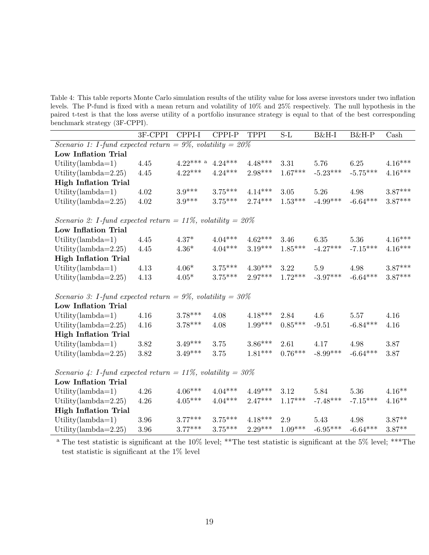Table 4: This table reports Monte Carlo simulation results of the utility value for loss averse investors under two inflation levels. The P-fund is fixed with a mean return and volatility of 10% and 25% respectively. The null hypothesis in the paired t-test is that the loss averse utility of a portfolio insurance strategy is equal to that of the best corresponding benchmark strategy (3F-CPPI).

|                                                                                 | 3F-CPPI                                                          | $CPPI-I$    | CPPI-P    | <b>TPPI</b> | $S-L$     | B&H-I      | B&H-P      | Cash                  |  |  |  |
|---------------------------------------------------------------------------------|------------------------------------------------------------------|-------------|-----------|-------------|-----------|------------|------------|-----------------------|--|--|--|
| Scenario 1: I-fund expected return = $9\%$ , volatility = $20\%$                |                                                                  |             |           |             |           |            |            |                       |  |  |  |
| Low Inflation Trial                                                             |                                                                  |             |           |             |           |            |            |                       |  |  |  |
| Utility(lambda= $1)$                                                            | 4.45                                                             | $4.22***$ a | $4.24***$ | $4.48***$   | 3.31      | 5.76       | 6.25       | $4.16***$             |  |  |  |
| Utility(lambda= $2.25$ )                                                        | 4.45                                                             | $4.22***$   | $4.24***$ | $2.98***$   | $1.67***$ | $-5.23***$ | $-5.75***$ | $4.16***$             |  |  |  |
| <b>High Inflation Trial</b>                                                     |                                                                  |             |           |             |           |            |            |                       |  |  |  |
| Utility(lambda= $1)$                                                            | 4.02                                                             | $3.9***$    | $3.75***$ | $4.14***$   | 3.05      | 5.26       | 4.98       | $3.87***$             |  |  |  |
| Utility(lambda= $2.25$ )                                                        | 4.02                                                             | $3.9***$    | $3.75***$ | $2.74***$   | $1.53***$ | $-4.99***$ | $-6.64***$ | $3.87***$             |  |  |  |
| <i>Scenario 2: I-fund expected return = 11%, volatility = <math>20\%</math></i> |                                                                  |             |           |             |           |            |            |                       |  |  |  |
| Low Inflation Trial                                                             |                                                                  |             |           |             |           |            |            |                       |  |  |  |
| Utility(lambda=1)                                                               | 4.45                                                             | $4.37*$     | $4.04***$ | $4.62***$   | 3.46      | 6.35       | 5.36       | $4.16^{\ast\ast\ast}$ |  |  |  |
| Utility(lambda= $2.25$ )                                                        | 4.45                                                             | $4.36*$     | $4.04***$ | $3.19***$   | $1.85***$ | $-4.27***$ | $-7.15***$ | $4.16***$             |  |  |  |
| <b>High Inflation Trial</b>                                                     |                                                                  |             |           |             |           |            |            |                       |  |  |  |
| Utility(lambda=1)                                                               | 4.13                                                             | $4.06*$     | $3.75***$ | $4.30***$   | 3.22      | 5.9        | 4.98       | $3.87***$             |  |  |  |
| Utility(lambda= $2.25$ )                                                        | 4.13                                                             | $4.05*$     | $3.75***$ | $2.97***$   | $1.72***$ | $-3.97***$ | $-6.64***$ | $3.87***$             |  |  |  |
|                                                                                 | Scenario 3: I-fund expected return = $9\%$ , volatility = $30\%$ |             |           |             |           |            |            |                       |  |  |  |
| Low Inflation Trial                                                             |                                                                  |             |           |             |           |            |            |                       |  |  |  |
| Utility(lambda=1)                                                               | 4.16                                                             | $3.78***$   | 4.08      | $4.18***$   | 2.84      | 4.6        | 5.57       | 4.16                  |  |  |  |
| Utility(lambda= $2.25$ )                                                        | 4.16                                                             | $3.78***$   | 4.08      | $1.99***$   | $0.85***$ | $-9.51$    | $-6.84***$ | 4.16                  |  |  |  |
| <b>High Inflation Trial</b>                                                     |                                                                  |             |           |             |           |            |            |                       |  |  |  |
| Utility(lambda=1)                                                               | 3.82                                                             | $3.49***$   | 3.75      | $3.86***$   | 2.61      | 4.17       | $4.98\,$   | 3.87                  |  |  |  |
| Utility(lambda= $2.25$ )                                                        | $3.82\,$                                                         | $3.49***$   | 3.75      | $1.81***$   | $0.76***$ | $-8.99***$ | $-6.64***$ | 3.87                  |  |  |  |
| Scenario 4: I-fund expected return = 11%, volatility = $30\%$                   |                                                                  |             |           |             |           |            |            |                       |  |  |  |
| Low Inflation Trial                                                             |                                                                  |             |           |             |           |            |            |                       |  |  |  |
| Utility(lambda= $1)$                                                            | 4.26                                                             | $4.06***$   | $4.04***$ | $4.49***$   | 3.12      | 5.84       | 5.36       | $4.16**$              |  |  |  |
| Utility(lambda= $2.25$ )                                                        | 4.26                                                             | $4.05***$   | $4.04***$ | $2.47***$   | $1.17***$ | $-7.48***$ | $-7.15***$ | $4.16**$              |  |  |  |
| <b>High Inflation Trial</b>                                                     |                                                                  |             |           |             |           |            |            |                       |  |  |  |
| Utility(lambda= $1)$                                                            | 3.96                                                             | $3.77***$   | $3.75***$ | $4.18***$   | 2.9       | 5.43       | 4.98       | $3.87**$              |  |  |  |
| Utility(lambda= $2.25$ )                                                        | 3.96                                                             | $3.77***$   | $3.75***$ | $2.29***$   | $1.09***$ | $-6.95***$ | $-6.64***$ | $3.87**$              |  |  |  |

<sup>a</sup> The test statistic is significant at the 10% level; \*\*The test statistic is significant at the 5% level; \*\*\*The test statistic is significant at the 1% level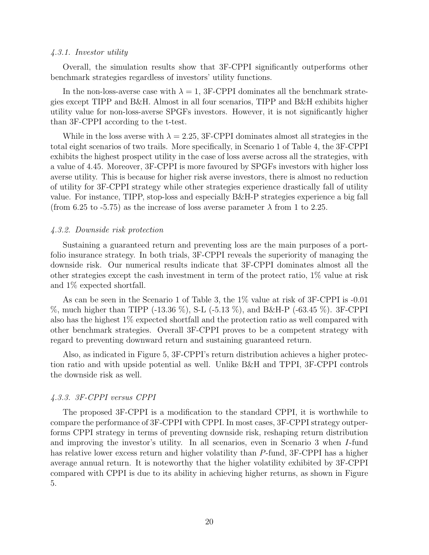#### 4.3.1. Investor utility

Overall, the simulation results show that 3F-CPPI significantly outperforms other benchmark strategies regardless of investors' utility functions.

In the non-loss-averse case with  $\lambda = 1$ , 3F-CPPI dominates all the benchmark strategies except TIPP and B&H. Almost in all four scenarios, TIPP and B&H exhibits higher utility value for non-loss-averse SPGFs investors. However, it is not significantly higher than 3F-CPPI according to the t-test.

While in the loss averse with  $\lambda = 2.25$ , 3F-CPPI dominates almost all strategies in the total eight scenarios of two trails. More specifically, in Scenario 1 of Table 4, the 3F-CPPI exhibits the highest prospect utility in the case of loss averse across all the strategies, with a value of 4.45. Moreover, 3F-CPPI is more favoured by SPGFs investors with higher loss averse utility. This is because for higher risk averse investors, there is almost no reduction of utility for 3F-CPPI strategy while other strategies experience drastically fall of utility value. For instance, TIPP, stop-loss and especially B&H-P strategies experience a big fall (from 6.25 to -5.75) as the increase of loss averse parameter  $\lambda$  from 1 to 2.25.

#### 4.3.2. Downside risk protection

Sustaining a guaranteed return and preventing loss are the main purposes of a portfolio insurance strategy. In both trials, 3F-CPPI reveals the superiority of managing the downside risk. Our numerical results indicate that 3F-CPPI dominates almost all the other strategies except the cash investment in term of the protect ratio, 1% value at risk and 1% expected shortfall.

As can be seen in the Scenario 1 of Table 3, the 1% value at risk of 3F-CPPI is -0.01 %, much higher than TIPP (-13.36 %), S-L (-5.13 %), and B&H-P (-63.45 %). 3F-CPPI also has the highest 1% expected shortfall and the protection ratio as well compared with other benchmark strategies. Overall 3F-CPPI proves to be a competent strategy with regard to preventing downward return and sustaining guaranteed return.

Also, as indicated in Figure 5, 3F-CPPI's return distribution achieves a higher protection ratio and with upside potential as well. Unlike B&H and TPPI, 3F-CPPI controls the downside risk as well.

#### 4.3.3. 3F-CPPI versus CPPI

The proposed 3F-CPPI is a modification to the standard CPPI, it is worthwhile to compare the performance of 3F-CPPI with CPPI. In most cases, 3F-CPPI strategy outperforms CPPI strategy in terms of preventing downside risk, reshaping return distribution and improving the investor's utility. In all scenarios, even in Scenario 3 when I-fund has relative lower excess return and higher volatility than P-fund, 3F-CPPI has a higher average annual return. It is noteworthy that the higher volatility exhibited by 3F-CPPI compared with CPPI is due to its ability in achieving higher returns, as shown in Figure 5.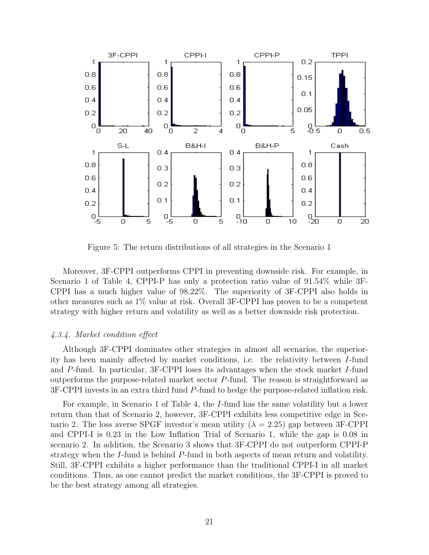

Figure 5: The return distributions of all strategies in the Scenario 1

Moreover, 3F-CPPI outperforms CPPI in preventing downside risk. For example, in Scenario 1 of Table 4, CPPI-P has only a protection ratio value of 91.54% while 3F-CPPI has a much higher value of 98.22%. The superiority of 3F-CPPI also holds in other measures such as 1% value at risk. Overall 3F-CPPI has proven to be a competent strategy with higher return and volatility as well as a better downside risk protection.

#### 4.3.4. Market condition effect

Although 3F-CPPI dominates other strategies in almost all scenarios, the superiority has been mainly affected by market conditions, i.e. the relativity between I-fund and P-fund. In particular, 3F-CPPI loses its advantages when the stock market I-fund outperforms the purpose-related market sector P-fund. The reason is straightforward as 3F-CPPI invests in an extra third fund P-fund to hedge the purpose-related inflation risk.

For example, in Scenario 1 of Table 4, the I-fund has the same volatility but a lower return than that of Scenario 2, however, 3F-CPPI exhibits less competitive edge in Scenario 2. The loss averse SPGF investor's mean utility ( $\lambda = 2.25$ ) gap between 3F-CPPI and CPPI-I is 0.23 in the Low Inflation Trial of Scenario 1, while the gap is 0.08 in scenario 2. In addition, the Scenario 3 shows that 3F-CPPI do not outperform CPPI-P strategy when the I-fund is behind P-fund in both aspects of mean return and volatility. Still, 3F-CPPI exhibits a higher performance than the traditional CPPI-I in all market conditions. Thus, as one cannot predict the market conditions, the 3F-CPPI is proved to be the best strategy among all strategies.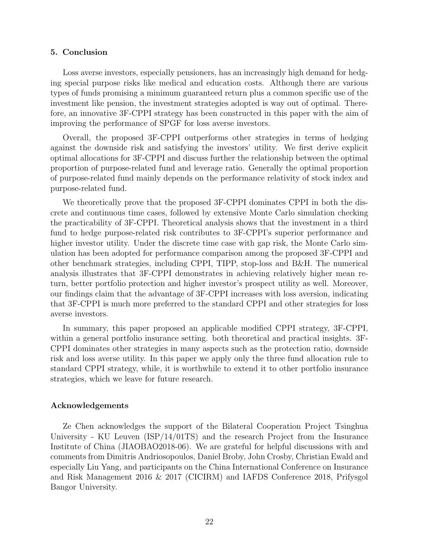#### 5. Conclusion

Loss averse investors, especially pensioners, has an increasingly high demand for hedging special purpose risks like medical and education costs. Although there are various types of funds promising a minimum guaranteed return plus a common specific use of the investment like pension, the investment strategies adopted is way out of optimal. Therefore, an innovative 3F-CPPI strategy has been constructed in this paper with the aim of improving the performance of SPGF for loss averse investors.

Overall, the proposed 3F-CPPI outperforms other strategies in terms of hedging against the downside risk and satisfying the investors' utility. We first derive explicit optimal allocations for 3F-CPPI and discuss further the relationship between the optimal proportion of purpose-related fund and leverage ratio. Generally the optimal proportion of purpose-related fund mainly depends on the performance relativity of stock index and purpose-related fund.

We theoretically prove that the proposed 3F-CPPI dominates CPPI in both the discrete and continuous time cases, followed by extensive Monte Carlo simulation checking the practicability of 3F-CPPI. Theoretical analysis shows that the investment in a third fund to hedge purpose-related risk contributes to 3F-CPPI's superior performance and higher investor utility. Under the discrete time case with gap risk, the Monte Carlo simulation has been adopted for performance comparison among the proposed 3F-CPPI and other benchmark strategies, including CPPI, TIPP, stop-loss and B&H. The numerical analysis illustrates that 3F-CPPI demonstrates in achieving relatively higher mean return, better portfolio protection and higher investor's prospect utility as well. Moreover, our findings claim that the advantage of 3F-CPPI increases with loss aversion, indicating that 3F-CPPI is much more preferred to the standard CPPI and other strategies for loss averse investors.

In summary, this paper proposed an applicable modified CPPI strategy, 3F-CPPI, within a general portfolio insurance setting. both theoretical and practical insights. 3F-CPPI dominates other strategies in many aspects such as the protection ratio, downside risk and loss averse utility. In this paper we apply only the three fund allocation rule to standard CPPI strategy, while, it is worthwhile to extend it to other portfolio insurance strategies, which we leave for future research.

#### Acknowledgements

Ze Chen acknowledges the support of the Bilateral Cooperation Project Tsinghua University - KU Leuven (ISP/14/01TS) and the research Project from the Insurance Institute of China (JIAOBAO2018-06). We are grateful for helpful discussions with and comments from Dimitris Andriosopoulos, Daniel Broby, John Crosby, Christian Ewald and especially Liu Yang, and participants on the China International Conference on Insurance and Risk Management 2016 & 2017 (CICIRM) and IAFDS Conference 2018, Prifysgol Bangor University.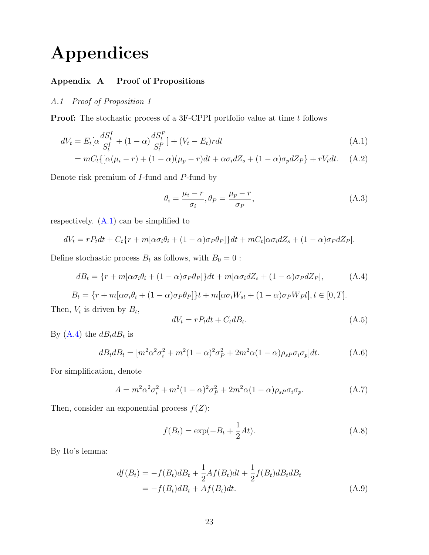# Appendices

# Appendix A Proof of Propositions

# A.1 Proof of Proposition 1

**Proof:** The stochastic process of a 3F-CPPI portfolio value at time t follows

$$
dV_t = E_t[\alpha \frac{dS_t^I}{S_t^I} + (1 - \alpha) \frac{dS_t^P}{S_t^P}] + (V_t - E_t) r dt
$$
\n(A.1)

$$
= mC_t\{[\alpha(\mu_i - r) + (1 - \alpha)(\mu_p - r)dt + \alpha\sigma_i dZ_s + (1 - \alpha)\sigma_p dZ_P\} + rV_t dt.
$$
 (A.2)

Denote risk premium of I-fund and P-fund by

<span id="page-22-0"></span>
$$
\theta_i = \frac{\mu_i - r}{\sigma_i}, \theta_P = \frac{\mu_p - r}{\sigma_P}, \tag{A.3}
$$

respectively. [\(A.1\)](#page-22-0) can be simplified to

$$
dV_t = rP_t dt + C_t \{r + m[\alpha \sigma_i \theta_i + (1 - \alpha) \sigma_P \theta_P]\} dt + mC_t[\alpha \sigma_i dZ_s + (1 - \alpha) \sigma_P dZ_P].
$$

Define stochastic process  $B_t$  as follows, with  $B_0 = 0$  :

<span id="page-22-1"></span>
$$
dB_t = \{r + m[\alpha \sigma_i \theta_i + (1 - \alpha)\sigma_P \theta_P]\}dt + m[\alpha \sigma_i dZ_s + (1 - \alpha)\sigma_P dZ_P],\tag{A.4}
$$

$$
B_t = \{r + m[\alpha \sigma_i \theta_i + (1 - \alpha) \sigma_P \theta_P]\}t + m[\alpha \sigma_i W_{st} + (1 - \alpha) \sigma_P W pt], t \in [0, T].
$$

Then,  $V_t$  is driven by  $B_t$ ,

<span id="page-22-2"></span>
$$
dV_t = rP_t dt + C_t dB_t.
$$
\n(A.5)

By  $(A.4)$  the  $dB_t dB_t$  is

$$
dB_t dB_t = [m^2 \alpha^2 \sigma_i^2 + m^2 (1 - \alpha)^2 \sigma_p^2 + 2m^2 \alpha (1 - \alpha) \rho_{sp} \sigma_i \sigma_p] dt.
$$
 (A.6)

For simplification, denote

$$
A = m^2 \alpha^2 \sigma_i^2 + m^2 (1 - \alpha)^2 \sigma_P^2 + 2m^2 \alpha (1 - \alpha) \rho_{sP} \sigma_i \sigma_p.
$$
 (A.7)

Then, consider an exponential process  $f(Z)$ :

$$
f(B_t) = \exp(-B_t + \frac{1}{2}At). \tag{A.8}
$$

By Ito's lemma:

$$
df(B_t) = -f(B_t)dB_t + \frac{1}{2}Af(B_t)dt + \frac{1}{2}f(B_t)dB_t dB_t
$$
  
=  $-f(B_t)dB_t + Af(B_t)dt.$  (A.9)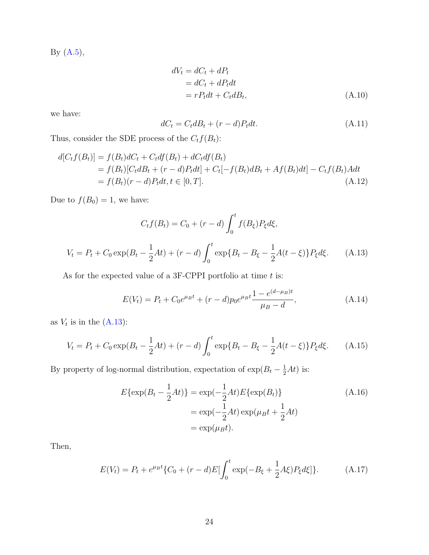By [\(A.5\)](#page-22-2),

$$
dV_t = dC_t + dP_t
$$
  
=  $dC_t + dP_t dt$   
=  $rP_t dt + C_t dB_t,$  (A.10)

we have:

$$
dC_t = C_t dB_t + (r - d)P_t dt.
$$
\n(A.11)

Thus, consider the SDE process of the  $C_t f({\cal B}_t)$ :

$$
d[C_t f(B_t)] = f(B_t) dC_t + C_t df(B_t) + dC_t df(B_t)
$$
  
=  $f(B_t)[C_t dB_t + (r - d)P_t dt] + C_t[-f(B_t) dB_t + Af(B_t) dt] - C_t f(B_t) A dt$   
=  $f(B_t)(r - d)P_t dt, t \in [0, T].$  (A.12)

Due to  $f(B_0) = 1$ , we have:

$$
C_t f(B_t) = C_0 + (r - d) \int_0^t f(B_\xi) P_\xi d\xi,
$$
  

$$
V_t = P_t + C_0 \exp(B_t - \frac{1}{2}At) + (r - d) \int_0^t \exp\{B_t - B_\xi - \frac{1}{2}A(t - \xi)\} P_\xi d\xi.
$$
 (A.13)

<span id="page-23-0"></span>As for the expected value of a 3F-CPPI portfolio at time  $t$  is:

$$
E(V_t) = P_t + C_0 e^{\mu_B t} + (r - d) p_0 e^{\mu_B t} \frac{1 - e^{(d - \mu_B)t}}{\mu_B - d},
$$
\n(A.14)

as  $V_t$  is in the  $(A.13)$ :

$$
V_t = P_t + C_0 \exp(B_t - \frac{1}{2}At) + (r - d) \int_0^t \exp\{B_t - B_\xi - \frac{1}{2}A(t - \xi)\} P_\xi d\xi.
$$
 (A.15)

By property of log-normal distribution, expectation of  $\exp(B_t - \frac{1}{2}At)$  is:

$$
E\{\exp(B_t - \frac{1}{2}At)\} = \exp(-\frac{1}{2}At)E\{\exp(B_t)\}\
$$
\n
$$
= \exp(-\frac{1}{2}At)\exp(\mu_B t + \frac{1}{2}At)
$$
\n
$$
= \exp(\mu_B t).
$$
\n(A.16)

Then,

$$
E(V_t) = P_t + e^{\mu_B t} \{ C_0 + (r - d) E \left[ \int_0^t \exp(-B_\xi + \frac{1}{2} A \xi) P_\xi d\xi \right] \}.
$$
 (A.17)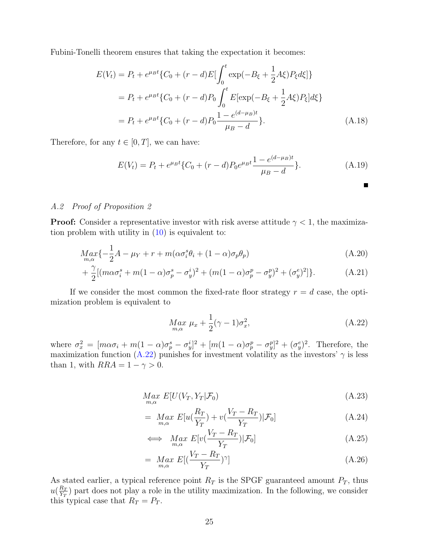Fubini-Tonelli theorem ensures that taking the expectation it becomes:

$$
E(V_t) = P_t + e^{\mu_B t} \{ C_0 + (r - d)E \left[ \int_0^t \exp(-B_{\xi} + \frac{1}{2}A_{\xi}) P_{\xi} d\xi \right] \}
$$
  
=  $P_t + e^{\mu_B t} \{ C_0 + (r - d) P_0 \int_0^t E[\exp(-B_{\xi} + \frac{1}{2}A_{\xi}) P_{\xi}] d\xi \}$   
=  $P_t + e^{\mu_B t} \{ C_0 + (r - d) P_0 \frac{1 - e^{(d - \mu_B)t}}{\mu_B - d} \}.$  (A.18)

Therefore, for any  $t \in [0, T]$ , we can have:

$$
E(V_t) = P_t + e^{\mu_B t} \{ C_0 + (r - d) P_0 e^{\mu_B t} \frac{1 - e^{(d - \mu_B)t}}{\mu_B - d} \}.
$$
 (A.19)

#### A.2 Proof of Proposition 2

**Proof:** Consider a representative investor with risk averse attitude  $\gamma < 1$ , the maximization problem with utility in  $(10)$  is equivalent to:

$$
Max_{m,\alpha}\{-\frac{1}{2}A - \mu_Y + r + m(\alpha \sigma_i^s \theta_i + (1 - \alpha)\sigma_p \theta_p)
$$
\n(A.20)

+ 
$$
\frac{\gamma}{2} [ (m\alpha \sigma_i^s + m(1-\alpha)\sigma_p^s - \sigma_y^i)^2 + (m(1-\alpha)\sigma_p^p - \sigma_y^p)^2 + (\sigma_y^e)^2 ]
$$
 }. (A.21)

If we consider the most common the fixed-rate floor strategy  $r = d$  case, the optimization problem is equivalent to

<span id="page-24-0"></span>
$$
\underset{m,\alpha}{Max} \ \mu_x + \frac{1}{2} (\gamma - 1) \sigma_x^2, \tag{A.22}
$$

П

where  $\sigma_x^2 = [m\alpha\sigma_i + m(1-\alpha)\sigma_p^s - \sigma_y^i]^2 + [m(1-\alpha)\sigma_p^p - \sigma_y^p]^2 + (\sigma_y^e)^2$ . Therefore, the maximization function [\(A.22\)](#page-24-0) punishes for investment volatility as the investors'  $\gamma$  is less than 1, with  $RRA = 1 - \gamma > 0$ .

$$
\underset{m,\alpha}{Max} E[U(V_T, Y_T | \mathcal{F}_0) \tag{A.23}
$$

$$
= \underset{m,\alpha}{Max} E[u(\frac{R_T}{Y_T}) + v(\frac{V_T - R_T}{Y_T}) | \mathcal{F}_0]
$$
\n(A.24)

$$
\iff \quad \underset{m,\alpha}{Max} \ E[v(\frac{V_T - R_T}{Y_T}) | \mathcal{F}_0] \tag{A.25}
$$

$$
= \underset{m,\alpha}{Max} E[(\frac{V_T - R_T}{Y_T})^{\gamma}] \tag{A.26}
$$

As stated earlier, a typical reference point  $R_T$  is the SPGF guaranteed amount  $P_T$ , thus  $u(\frac{R_T}{V_T})$  $\frac{K_T}{Y_T}$ ) part does not play a role in the utility maximization. In the following, we consider this typical case that  $R_T = P_T$ .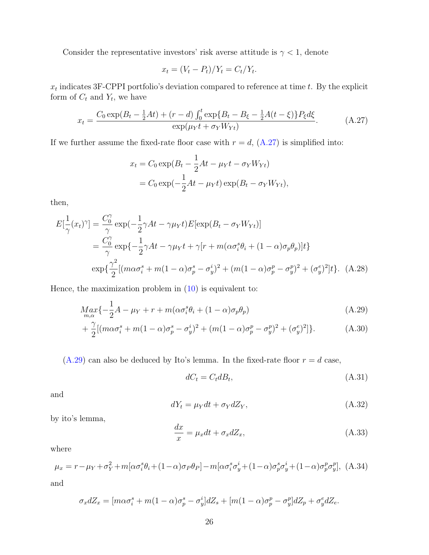Consider the representative investors' risk averse attitude is  $\gamma < 1$ , denote

$$
x_t = (V_t - P_t)/Y_t = C_t/Y_t.
$$

 $x_t$  indicates 3F-CPPI portfolio's deviation compared to reference at time t. By the explicit form of  $C_t$  and  $Y_t$ , we have

<span id="page-25-0"></span>
$$
x_t = \frac{C_0 \exp(B_t - \frac{1}{2}At) + (r - d) \int_0^t \exp\{B_t - B_\xi - \frac{1}{2}A(t - \xi)\} P_\xi d\xi}{\exp(\mu_Y t + \sigma_Y W_{Yt})}.
$$
(A.27)

If we further assume the fixed-rate floor case with  $r = d$ ,  $(A.27)$  is simplified into:

$$
x_t = C_0 \exp(B_t - \frac{1}{2}At - \mu_Y t - \sigma_Y W_{Yt})
$$
  
=  $C_0 \exp(-\frac{1}{2}At - \mu_Y t) \exp(B_t - \sigma_Y W_{Yt}),$ 

then,

$$
E\left[\frac{1}{\gamma}(x_t)^\gamma\right] = \frac{C_0^\gamma}{\gamma} \exp\left(-\frac{1}{2}\gamma At - \gamma\mu_Y t\right) E\left[\exp(B_t - \sigma_Y W_{Yt})\right]
$$
  
= 
$$
\frac{C_0^\gamma}{\gamma} \exp\left\{-\frac{1}{2}\gamma At - \gamma\mu_Y t + \gamma[r + m(\alpha\sigma_i^\gamma \theta_i + (1 - \alpha)\sigma_p \theta_p)]t\right\}
$$
  

$$
\exp\left\{\frac{\gamma^2}{2}[(m\alpha\sigma_i^\gamma + m(1 - \alpha)\sigma_p^\delta - \sigma_y^\delta)^2 + (m(1 - \alpha)\sigma_p^\rho - \sigma_y^\rho)^2 + (\sigma_y^\rho)^2]t\right\}. \quad (A.28)
$$

Hence, the maximization problem in  $(10)$  is equivalent to:

$$
Max_{m,\alpha}\{-\frac{1}{2}A - \mu_Y + r + m(\alpha \sigma_i^s \theta_i + (1 - \alpha)\sigma_p \theta_p)
$$
\n(A.29)

$$
+\frac{\gamma}{2}[(m\alpha\sigma_i^s + m(1-\alpha)\sigma_p^s - \sigma_y^i)^2 + (m(1-\alpha)\sigma_p^p - \sigma_y^p)^2 + (\sigma_y^e)^2].
$$
 (A.30)

 $(A.29)$  can also be deduced by Ito's lemma. In the fixed-rate floor  $r = d$  case,

<span id="page-25-1"></span>
$$
dC_t = C_t dB_t,\tag{A.31}
$$

and

$$
dY_t = \mu_Y dt + \sigma_Y dZ_Y, \qquad (A.32)
$$

by ito's lemma,

$$
\frac{dx}{x} = \mu_x dt + \sigma_x dZ_x,\tag{A.33}
$$

where

$$
\mu_x = r - \mu_Y + \sigma_Y^2 + m[\alpha \sigma_i^s \theta_i + (1 - \alpha)\sigma_P \theta_P] - m[\alpha \sigma_i^s \sigma_y^i + (1 - \alpha)\sigma_p^s \sigma_y^i + (1 - \alpha)\sigma_p^p \sigma_y^p],
$$
 (A.34)

and

$$
\sigma_x dZ_x = [m\alpha \sigma_i^s + m(1-\alpha)\sigma_p^s - \sigma_y^i]dZ_s + [m(1-\alpha)\sigma_p^p - \sigma_y^p]dZ_p + \sigma_y^e dZ_e.
$$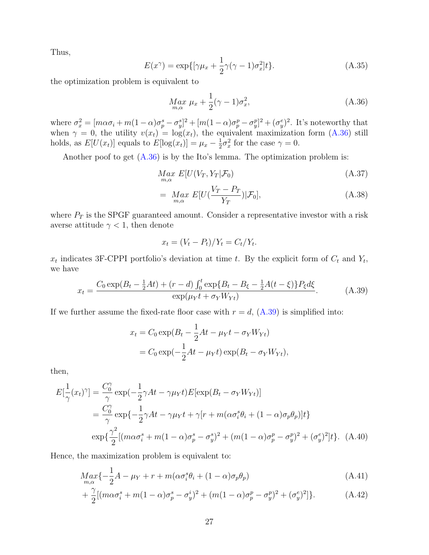Thus,

$$
E(x^{\gamma}) = \exp\{[\gamma\mu_x + \frac{1}{2}\gamma(\gamma - 1)\sigma_x^2]t\}.
$$
 (A.35)

the optimization problem is equivalent to

<span id="page-26-0"></span>
$$
\underset{m,\alpha}{Max} \mu_x + \frac{1}{2}(\gamma - 1)\sigma_x^2,\tag{A.36}
$$

where  $\sigma_x^2 = [m\alpha\sigma_i + m(1-\alpha)\sigma_p^s - \sigma_y^s]^2 + [m(1-\alpha)\sigma_p^p - \sigma_y^p]^2 + (\sigma_y^e)^2$ . It's noteworthy that when  $\gamma = 0$ , the utility  $v(x_t) = \log(x_t)$ , the equivalent maximization form  $(A.36)$  still holds, as  $E[U(x_t)]$  equals to  $E[log(x_t)] = \mu_x - \frac{1}{2}$  $\frac{1}{2}\sigma_x^2$  for the case  $\gamma = 0$ .

Another poof to get  $(A.36)$  is by the Ito's lemma. The optimization problem is:

$$
\underset{m,\alpha}{Max} E[U(V_T, Y_T | \mathcal{F}_0) \tag{A.37}
$$

$$
= \underset{m,\alpha}{Max} E[U(\frac{V_T - P_T}{Y_T}) | \mathcal{F}_0], \tag{A.38}
$$

where  $P_T$  is the SPGF guaranteed amount. Consider a representative investor with a risk averse attitude  $\gamma < 1$ , then denote

$$
x_t = (V_t - P_t)/Y_t = C_t/Y_t.
$$

 $x_t$  indicates 3F-CPPI portfolio's deviation at time t. By the explicit form of  $C_t$  and  $Y_t$ , we have

<span id="page-26-1"></span>
$$
x_t = \frac{C_0 \exp(B_t - \frac{1}{2}At) + (r - d) \int_0^t \exp\{B_t - B_\xi - \frac{1}{2}A(t - \xi)\} P_\xi d\xi}{\exp(\mu_Y t + \sigma_Y W_{Yt})}.
$$
(A.39)

If we further assume the fixed-rate floor case with  $r = d$ ,  $(A.39)$  is simplified into:

<span id="page-26-2"></span>
$$
x_t = C_0 \exp(B_t - \frac{1}{2}At - \mu_Y t - \sigma_Y W_{Yt})
$$
  
=  $C_0 \exp(-\frac{1}{2}At - \mu_Y t) \exp(B_t - \sigma_Y W_{Yt}),$ 

then,

$$
E\left[\frac{1}{\gamma}(x_t)^\gamma\right] = \frac{C_0^\gamma}{\gamma} \exp\left(-\frac{1}{2}\gamma At - \gamma\mu_Y t\right) E\left[\exp(B_t - \sigma_Y W_{Yt})\right]
$$
  
= 
$$
\frac{C_0^\gamma}{\gamma} \exp\left\{-\frac{1}{2}\gamma At - \gamma\mu_Y t + \gamma[r + m(\alpha\sigma_i^\delta \theta_i + (1 - \alpha)\sigma_p \theta_p)]t\right\}
$$
  

$$
\exp\left\{\frac{\gamma^2}{2}[(m\alpha\sigma_i^\delta + m(1 - \alpha)\sigma_p^\delta - \sigma_y^\delta)^2 + (m(1 - \alpha)\sigma_p^\delta - \sigma_y^\delta)^2 + (\sigma_y^\epsilon)^2]t\right\}. \quad (A.40)
$$

Hence, the maximization problem is equivalent to:

$$
Max_{m,\alpha}\{-\frac{1}{2}A - \mu_Y + r + m(\alpha \sigma_i^s \theta_i + (1 - \alpha)\sigma_p \theta_p)
$$
\n(A.41)

+ 
$$
\frac{\gamma}{2} [ (m \alpha \sigma_i^s + m(1-\alpha) \sigma_p^s - \sigma_y^i)^2 + (m(1-\alpha) \sigma_p^p - \sigma_y^p)^2 + (\sigma_y^e)^2 ]
$$
 }. (A.42)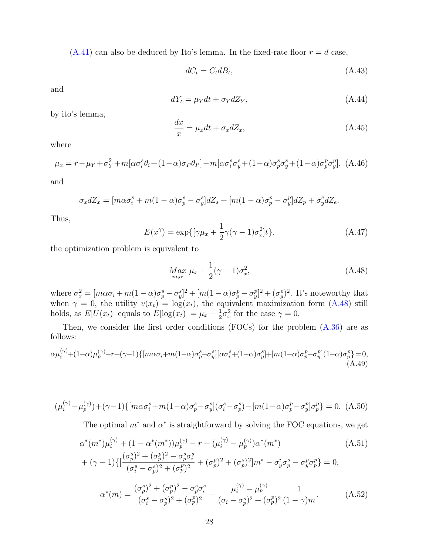$(A.41)$  can also be deduced by Ito's lemma. In the fixed-rate floor  $r = d$  case,

$$
dC_t = C_t dB_t,\tag{A.43}
$$

and

$$
dY_t = \mu_Y dt + \sigma_Y dZ_Y,\tag{A.44}
$$

by ito's lemma,

$$
\frac{dx}{x} = \mu_x dt + \sigma_x dZ_x,\tag{A.45}
$$

where

$$
\mu_x = r - \mu_Y + \sigma_Y^2 + m[\alpha \sigma_i^s \theta_i + (1 - \alpha)\sigma_P \theta_P] - m[\alpha \sigma_i^s \sigma_y^s + (1 - \alpha)\sigma_p^s \sigma_y^s + (1 - \alpha)\sigma_p^p \sigma_y^p],
$$
 (A.46)

and

$$
\sigma_x dZ_x = [m\alpha \sigma_i^s + m(1-\alpha)\sigma_p^s - \sigma_y^s]dZ_s + [m(1-\alpha)\sigma_p^p - \sigma_y^p]dZ_p + \sigma_y^e dZ_e.
$$

Thus,

$$
E(x^{\gamma}) = \exp\{[\gamma\mu_x + \frac{1}{2}\gamma(\gamma - 1)\sigma_x^2]t\}.
$$
 (A.47)

the optimization problem is equivalent to

<span id="page-27-0"></span>
$$
\underset{m,\alpha}{Max} \ \mu_x + \frac{1}{2} (\gamma - 1) \sigma_x^2, \tag{A.48}
$$

where  $\sigma_x^2 = [m\alpha\sigma_i + m(1-\alpha)\sigma_p^s - \sigma_y^s]^2 + [m(1-\alpha)\sigma_p^p - \sigma_y^p]^2 + (\sigma_y^e)^2$ . It's noteworthy that when  $\gamma = 0$ , the utility  $v(x_t) = \log(x_t)$ , the equivalent maximization form  $(A.48)$  still holds, as  $E[U(x_t)]$  equals to  $E[log(x_t)] = \mu_x - \frac{1}{2}$  $\frac{1}{2}\sigma_x^2$  for the case  $\gamma = 0$ .

Then, we consider the first order conditions (FOCs) for the problem  $(A.36)$  are as follows:

$$
\alpha \mu_i^{(\gamma)} + (1-\alpha)\mu_p^{(\gamma)} - r + (\gamma - 1)\{ [m\alpha \sigma_i + m(1-\alpha)\sigma_p^s - \sigma_y^s][\alpha \sigma_i^s + (1-\alpha)\sigma_p^s] + [m(1-\alpha)\sigma_p^p - \sigma_y^p](1-\alpha)\sigma_p^p \} = 0,
$$
\n(A.49)

$$
(\mu_i^{(\gamma)} - \mu_p^{(\gamma)}) + (\gamma - 1) \{ [m\alpha \sigma_i^s + m(1 - \alpha)\sigma_p^s - \sigma_y^s] (\sigma_i^s - \sigma_p^s) - [m(1 - \alpha)\sigma_p^p - \sigma_y^p] \sigma_p^p \} = 0. \tag{A.50}
$$

The optimal  $m^*$  and  $\alpha^*$  is straightforward by solving the FOC equations, we get

$$
\alpha^*(m^*)\mu_i^{(\gamma)} + (1 - \alpha^*(m^*))\mu_p^{(\gamma)} - r + (\mu_i^{(\gamma)} - \mu_p^{(\gamma)})\alpha^*(m^*)
$$
\n
$$
+ (\gamma - 1)\{ [\frac{(\sigma_p^s)^2 + (\sigma_p^p)^2 - \sigma_p^s \sigma_i^s}{(\sigma_i^s - \sigma_p^s)^2 + (\sigma_p^p)^2} + (\sigma_p^p)^2 + (\sigma_p^s)^2]m^* - \sigma_y^i \sigma_p^s - \sigma_y^p \sigma_p^p \} = 0,
$$
\n
$$
\alpha^*(m) = \frac{(\sigma_p^s)^2 + (\sigma_p^p)^2 - \sigma_p^s \sigma_i^s}{(\sigma_i^s - \sigma_p^s)^2 + (\sigma_p^p)^2} + \frac{\mu_i^{(\gamma)} - \mu_p^{(\gamma)}}{(\sigma_i - \sigma_p^s)^2 + (\sigma_p^p)^2} \frac{1}{(1 - \gamma)m}.
$$
\n(A.52)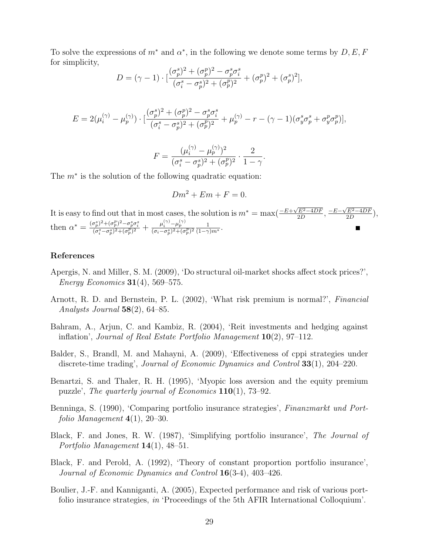To solve the expressions of  $m^*$  and  $\alpha^*$ , in the following we denote some terms by  $D, E, F$ for simplicity,

$$
D = (\gamma - 1) \cdot \left[ \frac{(\sigma_p^s)^2 + (\sigma_p^p)^2 - \sigma_p^s \sigma_i^s}{(\sigma_i^s - \sigma_p^s)^2 + (\sigma_p^p)^2} + (\sigma_p^p)^2 + (\sigma_p^s)^2 \right],
$$

$$
E = 2(\mu_i^{(\gamma)} - \mu_p^{(\gamma)}) \cdot \left[ \frac{(\sigma_p^s)^2 + (\sigma_p^p)^2 - \sigma_p^s \sigma_i^s}{(\sigma_i^s - \sigma_p^s)^2 + (\sigma_p^p)^2} + \mu_p^{(\gamma)} - r - (\gamma - 1)(\sigma_y^s \sigma_p^s + \sigma_y^p \sigma_p^p) \right],
$$

$$
F = \frac{(\mu_i^{(\gamma)} - \mu_p^{(\gamma)})^2}{(\sigma_i^s - \sigma_p^s)^2 + (\sigma_p^p)^2} \cdot \frac{2}{1 - \gamma}.
$$

The  $m^*$  is the solution of the following quadratic equation:

$$
Dm^2 + Em + F = 0.
$$

It is easy to find out that in most cases, the solution is  $m^* = \max(\frac{-E + \sqrt{E^2 - 4DF}}{2D})$  $\frac{\sqrt{E^2-4DF}}{2D}, \frac{-E-\sqrt{E^2-4DF}}{2D}$  $\frac{E^2-4DF}{2D}\big),$ then  $\alpha^* = \frac{(\sigma_p^s)^2 + (\sigma_p^p)^2 - \sigma_p^s \sigma_i^s}{(\sigma_i^s - \sigma_p^s)^2 + (\sigma_p^p)^2} + \frac{\mu_i^{(\gamma)} - \mu_p^{(\gamma)}}{(\sigma_i - \sigma_p^s)^2 + (\sigma_p^p)^2} \frac{1}{(1 - \gamma)m^*}.$ 

#### References

- <span id="page-28-0"></span>Apergis, N. and Miller, S. M. (2009), 'Do structural oil-market shocks affect stock prices?', Energy Economics  $31(4)$ , 569–575.
- <span id="page-28-6"></span>Arnott, R. D. and Bernstein, P. L. (2002), 'What risk premium is normal?', Financial Analysts Journal  $58(2)$ , 64–85.
- <span id="page-28-1"></span>Bahram, A., Arjun, C. and Kambiz, R. (2004), 'Reit investments and hedging against inflation', Journal of Real Estate Portfolio Management  $10(2)$ , 97–112.
- <span id="page-28-5"></span>Balder, S., Brandl, M. and Mahayni, A. (2009), 'Effectiveness of cppi strategies under discrete-time trading', Journal of Economic Dynamics and Control 33(1), 204–220.
- <span id="page-28-8"></span>Benartzi, S. and Thaler, R. H. (1995), 'Myopic loss aversion and the equity premium puzzle', The quarterly journal of Economics 110(1), 73–92.
- <span id="page-28-7"></span>Benninga, S. (1990), 'Comparing portfolio insurance strategies', Finanzmarkt und Portfolio Management  $4(1)$ , 20–30.
- <span id="page-28-3"></span>Black, F. and Jones, R. W. (1987), 'Simplifying portfolio insurance', The Journal of Portfolio Management 14(1), 48–51.
- <span id="page-28-4"></span>Black, F. and Perold, A. (1992), 'Theory of constant proportion portfolio insurance', Journal of Economic Dynamics and Control 16(3-4), 403–426.
- <span id="page-28-2"></span>Boulier, J.-F. and Kanniganti, A. (2005), Expected performance and risk of various portfolio insurance strategies, in 'Proceedings of the 5th AFIR International Colloquium'.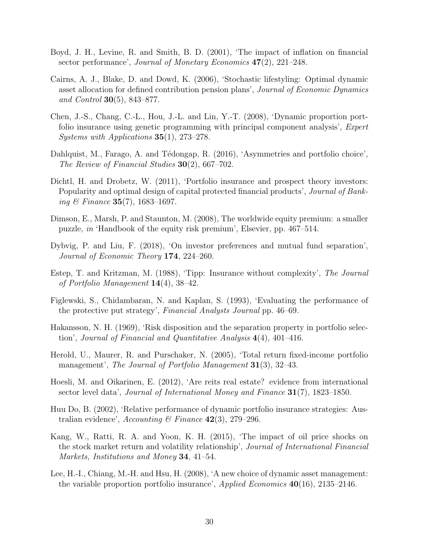- <span id="page-29-0"></span>Boyd, J. H., Levine, R. and Smith, B. D. (2001), 'The impact of inflation on financial sector performance', Journal of Monetary Economics  $47(2)$ ,  $221-248$ .
- <span id="page-29-6"></span>Cairns, A. J., Blake, D. and Dowd, K. (2006), 'Stochastic lifestyling: Optimal dynamic asset allocation for defined contribution pension plans', Journal of Economic Dynamics and Control 30(5), 843–877.
- <span id="page-29-4"></span>Chen, J.-S., Chang, C.-L., Hou, J.-L. and Lin, Y.-T. (2008), 'Dynamic proportion portfolio insurance using genetic programming with principal component analysis', Expert Systems with Applications 35(1), 273–278.
- <span id="page-29-7"></span>Dahlquist, M., Farago, A. and Tédongap, R. (2016), 'Asymmetries and portfolio choice', The Review of Financial Studies 30(2), 667–702.
- <span id="page-29-5"></span>Dichtl, H. and Drobetz, W. (2011), 'Portfolio insurance and prospect theory investors: Popularity and optimal design of capital protected financial products', *Journal of Bank*ing  $\&$  Finance 35(7), 1683–1697.
- <span id="page-29-10"></span>Dimson, E., Marsh, P. and Staunton, M. (2008), The worldwide equity premium: a smaller puzzle, in 'Handbook of the equity risk premium', Elsevier, pp. 467–514.
- <span id="page-29-8"></span>Dybvig, P. and Liu, F. (2018), 'On investor preferences and mutual fund separation', Journal of Economic Theory 174, 224–260.
- <span id="page-29-13"></span>Estep, T. and Kritzman, M. (1988), 'Tipp: Insurance without complexity', The Journal of Portfolio Management  $14(4)$ , 38-42.
- <span id="page-29-11"></span>Figlewski, S., Chidambaran, N. and Kaplan, S. (1993), 'Evaluating the performance of the protective put strategy', Financial Analysts Journal pp. 46–69.
- <span id="page-29-9"></span>Hakansson, N. H. (1969), 'Risk disposition and the separation property in portfolio selection', Journal of Financial and Quantitative Analysis  $4(4)$ , 401–416.
- <span id="page-29-12"></span>Herold, U., Maurer, R. and Purschaker, N. (2005), 'Total return fixed-income portfolio management', The Journal of Portfolio Management 31(3), 32–43.
- <span id="page-29-2"></span>Hoesli, M. and Oikarinen, E. (2012), 'Are reits real estate? evidence from international sector level data', *Journal of International Money and Finance*  $31(7)$ , 1823–1850.
- <span id="page-29-14"></span>Huu Do, B. (2002), 'Relative performance of dynamic portfolio insurance strategies: Australian evidence', Accounting & Finance  $42(3)$ , 279–296.
- <span id="page-29-1"></span>Kang, W., Ratti, R. A. and Yoon, K. H. (2015), 'The impact of oil price shocks on the stock market return and volatility relationship', Journal of International Financial Markets, Institutions and Money 34, 41–54.
- <span id="page-29-3"></span>Lee, H.-I., Chiang, M.-H. and Hsu, H. (2008), 'A new choice of dynamic asset management: the variable proportion portfolio insurance', Applied Economics  $40(16)$ , 2135–2146.